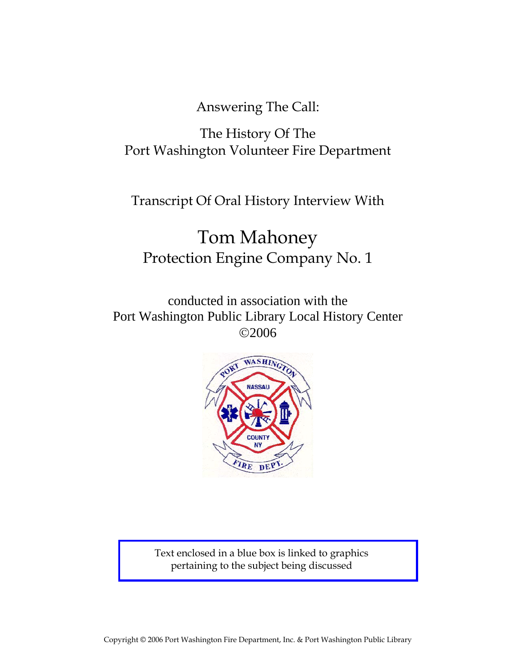Answering The Call:

# The History Of The Port Washington Volunteer Fire Department

Transcript Of Oral History Interview With

# Tom Mahoney Protection Engine Company No. 1

conducted in association with the Port Washington Public Library Local History Center ©2006



Text enclosed in a blue box is linked to graphics pertaining to the subject being discussed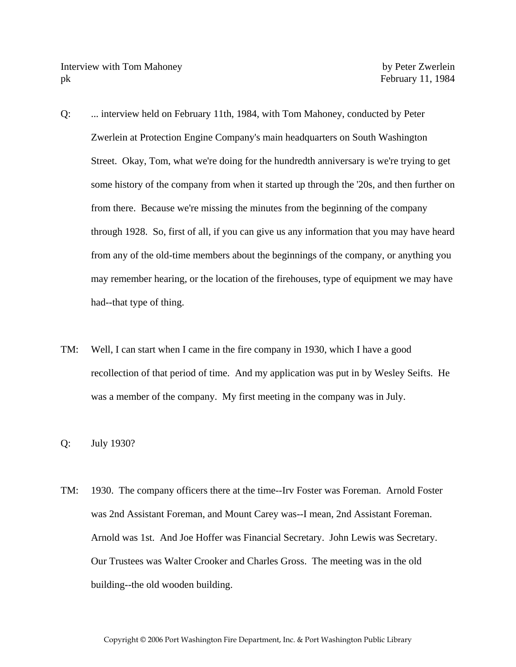- Q: ... interview held on February 11th, 1984, with Tom Mahoney, conducted by Peter Zwerlein at Protection Engine Company's main headquarters on South Washington Street. Okay, Tom, what we're doing for the hundredth anniversary is we're trying to get some history of the company from when it started up through the '20s, and then further on from there. Because we're missing the minutes from the beginning of the company through 1928. So, first of all, if you can give us any information that you may have heard from any of the old-time members about the beginnings of the company, or anything you may remember hearing, or the location of the firehouses, type of equipment we may have had--that type of thing.
- TM: Well, I can start when I came in the fire company in 1930, which I have a good recollection of that period of time. And my application was put in by Wesley Seifts. He was a member of the company. My first meeting in the company was in July.
- Q: July 1930?
- TM: 1930. The company officers there at the time--Irv Foster was Foreman. Arnold Foster was 2nd Assistant Foreman, and Mount Carey was--I mean, 2nd Assistant Foreman. Arnold was 1st. And Joe Hoffer was Financial Secretary. John Lewis was Secretary. Our Trustees was Walter Crooker and Charles Gross. The meeting was in the old building--the old wooden building.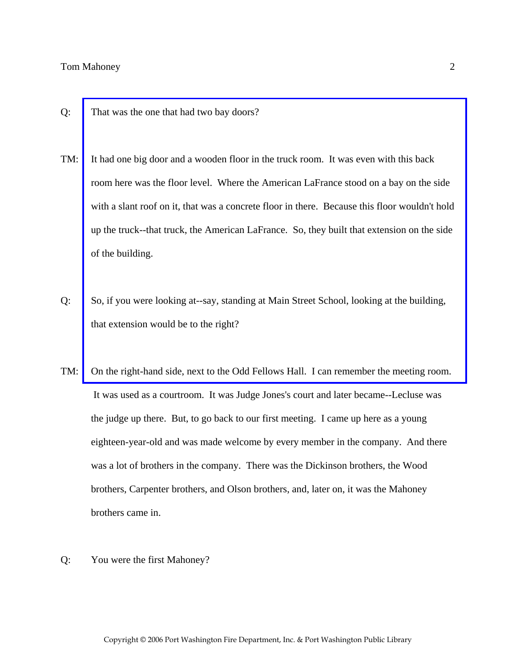- Q: That was the one that had two bay doors?
- TM: It had one big door and a wooden floor in the truck room. It was even with this back room here was the floor level. Where the American LaFrance stood on a bay on the side with a slant roof on it, that was a concrete floor in there. Because this floor wouldn't hold up the truck--that truck, the American LaFrance. So, they built that extension on the side of the building.
- Q: So, if you were looking at--say, standing at Main Street School, looking at the building, that extension would be to the right?
- TM: [On the right-hand side, next to the Odd Fellows Hall. I can remember the meeting room.](http://www.pwfdhistory.com/trans/mahoneyt_trans/peco_members043_web.jpg)  It was used as a courtroom. It was Judge Jones's court and later became--Lecluse was the judge up there. But, to go back to our first meeting. I came up here as a young eighteen-year-old and was made welcome by every member in the company. And there was a lot of brothers in the company. There was the Dickinson brothers, the Wood brothers, Carpenter brothers, and Olson brothers, and, later on, it was the Mahoney brothers came in.
- Q: You were the first Mahoney?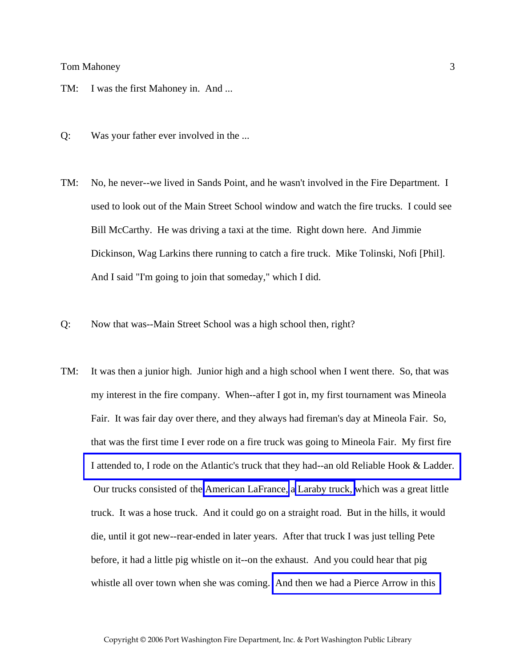- TM: I was the first Mahoney in. And ...
- Q: Was your father ever involved in the ...
- TM: No, he never--we lived in Sands Point, and he wasn't involved in the Fire Department. I used to look out of the Main Street School window and watch the fire trucks. I could see Bill McCarthy. He was driving a taxi at the time. Right down here. And Jimmie Dickinson, Wag Larkins there running to catch a fire truck. Mike Tolinski, Nofi [Phil]. And I said "I'm going to join that someday," which I did.
- Q: Now that was--Main Street School was a high school then, right?
- TM: It was then a junior high. Junior high and a high school when I went there. So, that was my interest in the fire company. When--after I got in, my first tournament was Mineola Fair. It was fair day over there, and they always had fireman's day at Mineola Fair. So, that was the first time I ever rode on a fire truck was going to Mineola Fair. My first fire [I attended to, I rode on the Atlantic's truck that they had--an old Reliable Hook & Ladder.](http://www.pwfdhistory.com/trans/mahoneyt_trans/ahlco_truck16_web.jpg)  Our trucks consisted of the [American LaFrance,](http://www.pwfdhistory.com/trans/mahoneyt_trans/peco_trucks046.jpg) a [Laraby truck,](http://www.pwfdhistory.com/trans/mahoneyt_trans/peco_trucks045.jpg) which was a great little truck. It was a hose truck. And it could go on a straight road. But in the hills, it would die, until it got new--rear-ended in later years. After that truck I was just telling Pete before, it had a little pig whistle on it--on the exhaust. And you could hear that pig whistle all over town when she was coming. [And then we had a Pierce Arrow in this](http://www.pwfdhistory.com/trans/mahoneyt_trans/peco_members016_web.jpg)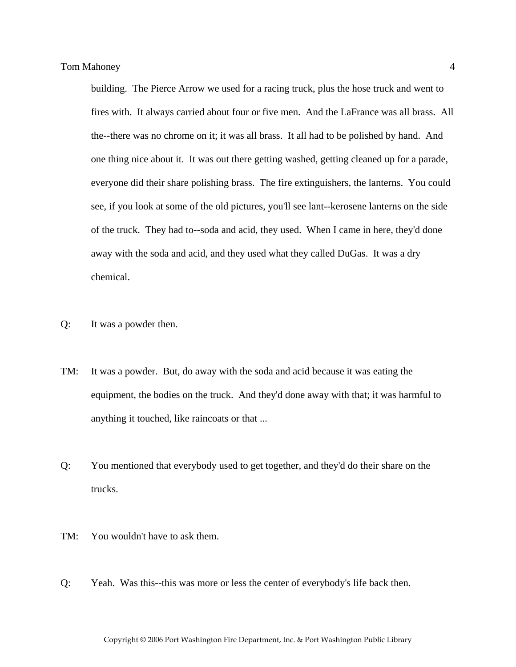building. The Pierce Arrow we used for a racing truck, plus the hose truck and went to fires with. It always carried about four or five men. And the LaFrance was all brass. All the--there was no chrome on it; it was all brass. It all had to be polished by hand. And one thing nice about it. It was out there getting washed, getting cleaned up for a parade, everyone did their share polishing brass. The fire extinguishers, the lanterns. You could see, if you look at some of the old pictures, you'll see lant--kerosene lanterns on the side of the truck. They had to--soda and acid, they used. When I came in here, they'd done away with the soda and acid, and they used what they called DuGas. It was a dry chemical.

- Q: It was a powder then.
- TM: It was a powder. But, do away with the soda and acid because it was eating the equipment, the bodies on the truck. And they'd done away with that; it was harmful to anything it touched, like raincoats or that ...
- Q: You mentioned that everybody used to get together, and they'd do their share on the trucks.
- TM: You wouldn't have to ask them.
- Q: Yeah. Was this--this was more or less the center of everybody's life back then.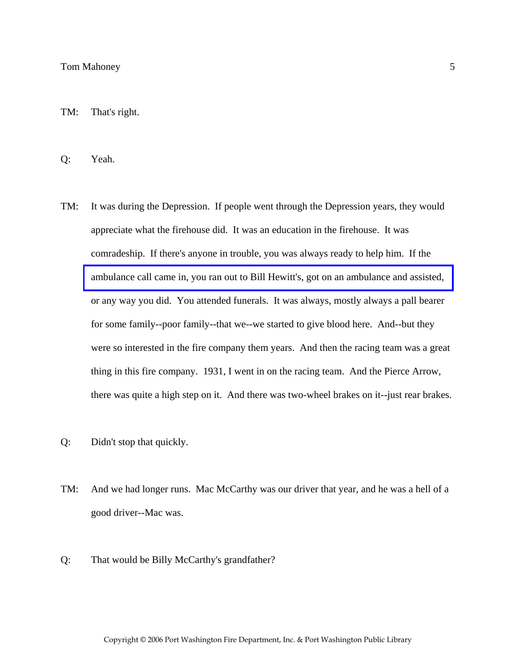TM: That's right.

Q: Yeah.

- TM: It was during the Depression. If people went through the Depression years, they would appreciate what the firehouse did. It was an education in the firehouse. It was comradeship. If there's anyone in trouble, you was always ready to help him. If the [ambulance call came in, you ran out to Bill Hewitt's, got on an ambulance and assisted,](http://www.pwfdhistory.com/trans/mahoneyt_trans/fmco_vehicles10_web.jpg)  or any way you did. You attended funerals. It was always, mostly always a pall bearer for some family--poor family--that we--we started to give blood here. And--but they were so interested in the fire company them years. And then the racing team was a great thing in this fire company. 1931, I went in on the racing team. And the Pierce Arrow, there was quite a high step on it. And there was two-wheel brakes on it--just rear brakes.
- Q: Didn't stop that quickly.
- TM: And we had longer runs. Mac McCarthy was our driver that year, and he was a hell of a good driver--Mac was.
- Q: That would be Billy McCarthy's grandfather?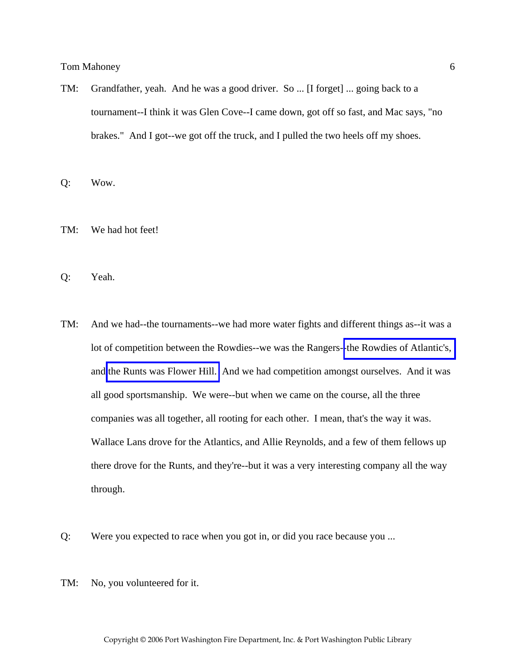TM: Grandfather, yeah. And he was a good driver. So ... [I forget] ... going back to a tournament--I think it was Glen Cove--I came down, got off so fast, and Mac says, "no brakes." And I got--we got off the truck, and I pulled the two heels off my shoes.

Q: Wow.

TM: We had hot feet!

Q: Yeah.

- TM: And we had--the tournaments--we had more water fights and different things as--it was a lot of competition between the Rowdies--we was the Rangers-[-the Rowdies of Atlantic's,](http://www.pwfdhistory.com/trans/mahoneyt_trans/ahlco_racing10_web.jpg)  and [the Runts was Flower Hill.](http://www.pwfdhistory.com/trans/mahoneyt_trans/fhh_racing007_web.jpg) And we had competition amongst ourselves. And it was all good sportsmanship. We were--but when we came on the course, all the three companies was all together, all rooting for each other. I mean, that's the way it was. Wallace Lans drove for the Atlantics, and Allie Reynolds, and a few of them fellows up there drove for the Runts, and they're--but it was a very interesting company all the way through.
- Q: Were you expected to race when you got in, or did you race because you ...
- TM: No, you volunteered for it.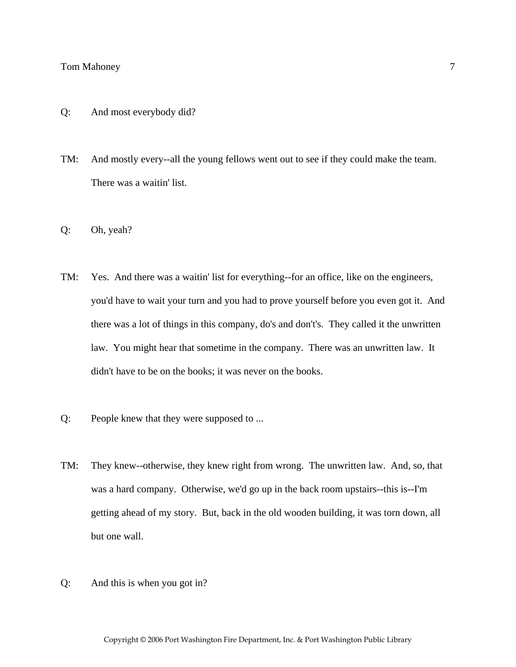- Q: And most everybody did?
- TM: And mostly every--all the young fellows went out to see if they could make the team. There was a waitin' list.
- Q: Oh, yeah?
- TM: Yes. And there was a waitin' list for everything--for an office, like on the engineers, you'd have to wait your turn and you had to prove yourself before you even got it. And there was a lot of things in this company, do's and don't's. They called it the unwritten law. You might hear that sometime in the company. There was an unwritten law. It didn't have to be on the books; it was never on the books.
- Q: People knew that they were supposed to ...
- TM: They knew--otherwise, they knew right from wrong. The unwritten law. And, so, that was a hard company. Otherwise, we'd go up in the back room upstairs--this is--I'm getting ahead of my story. But, back in the old wooden building, it was torn down, all but one wall.
- Q: And this is when you got in?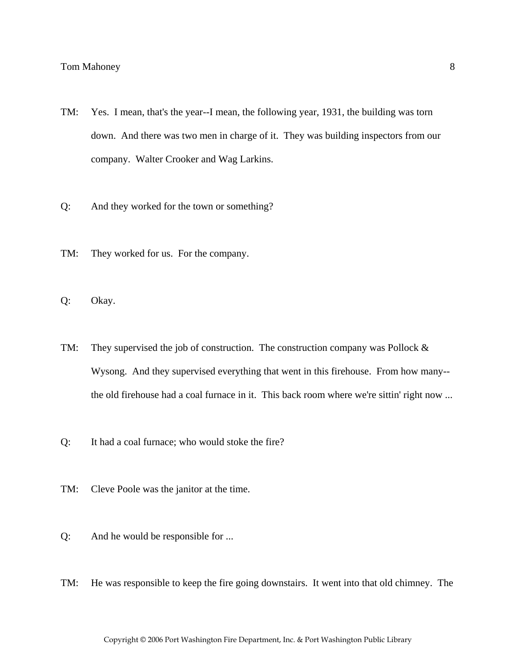- TM: Yes. I mean, that's the year--I mean, the following year, 1931, the building was torn down. And there was two men in charge of it. They was building inspectors from our company. Walter Crooker and Wag Larkins.
- Q: And they worked for the town or something?
- TM: They worked for us. For the company.
- Q: Okay.
- TM: They supervised the job of construction. The construction company was Pollock  $\&$ Wysong. And they supervised everything that went in this firehouse. From how many- the old firehouse had a coal furnace in it. This back room where we're sittin' right now ...
- Q: It had a coal furnace; who would stoke the fire?
- TM: Cleve Poole was the janitor at the time.
- Q: And he would be responsible for ...
- TM: He was responsible to keep the fire going downstairs. It went into that old chimney. The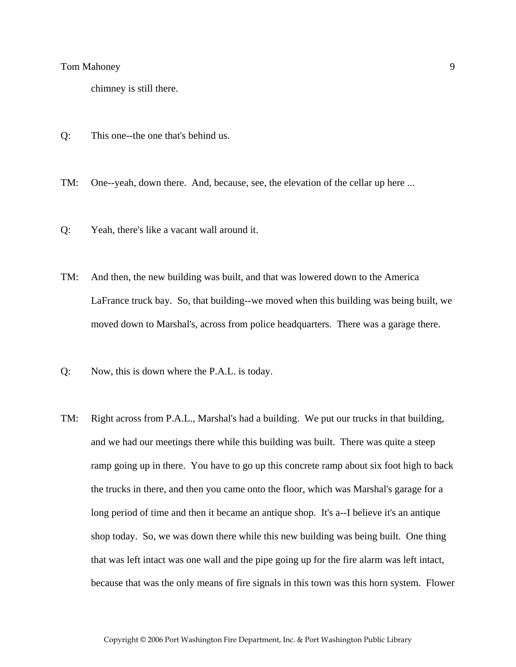chimney is still there.

- Q: This one--the one that's behind us.
- TM: One--yeah, down there. And, because, see, the elevation of the cellar up here ...
- Q: Yeah, there's like a vacant wall around it.
- TM: And then, the new building was built, and that was lowered down to the America LaFrance truck bay. So, that building--we moved when this building was being built, we moved down to Marshal's, across from police headquarters. There was a garage there.
- Q: Now, this is down where the P.A.L. is today.
- TM: Right across from P.A.L., Marshal's had a building. We put our trucks in that building, and we had our meetings there while this building was built. There was quite a steep ramp going up in there. You have to go up this concrete ramp about six foot high to back the trucks in there, and then you came onto the floor, which was Marshal's garage for a long period of time and then it became an antique shop. It's a--I believe it's an antique shop today. So, we was down there while this new building was being built. One thing that was left intact was one wall and the pipe going up for the fire alarm was left intact, because that was the only means of fire signals in this town was this horn system. Flower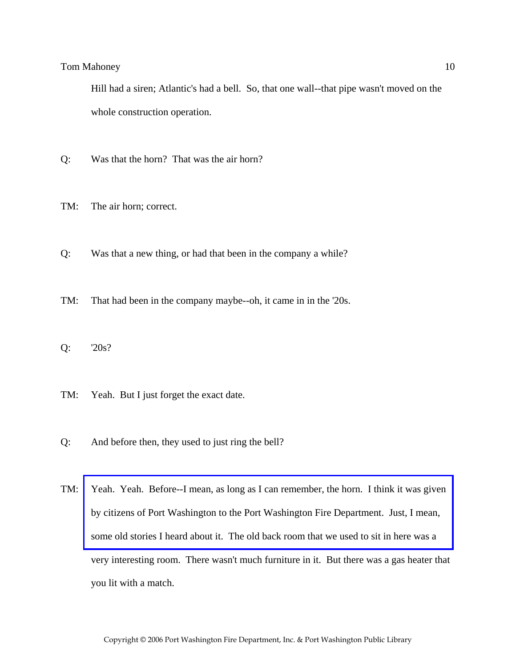Hill had a siren; Atlantic's had a bell. So, that one wall--that pipe wasn't moved on the whole construction operation.

- Q: Was that the horn? That was the air horn?
- TM: The air horn; correct.
- Q: Was that a new thing, or had that been in the company a while?
- TM: That had been in the company maybe--oh, it came in in the '20s.
- Q: '20s?
- TM: Yeah. But I just forget the exact date.
- Q: And before then, they used to just ring the bell?
- TM: [Yeah. Yeah. Before--I mean, as long as I can remember, the horn. I think it was given](http://www.pwfdhistory.com/trans/mahoneyt_trans/peco_artifact071.pdf)  by citizens of Port Washington to the Port Washington Fire Department. Just, I mean, some old stories I heard about it. The old back room that we used to sit in here was a very interesting room. There wasn't much furniture in it. But there was a gas heater that you lit with a match.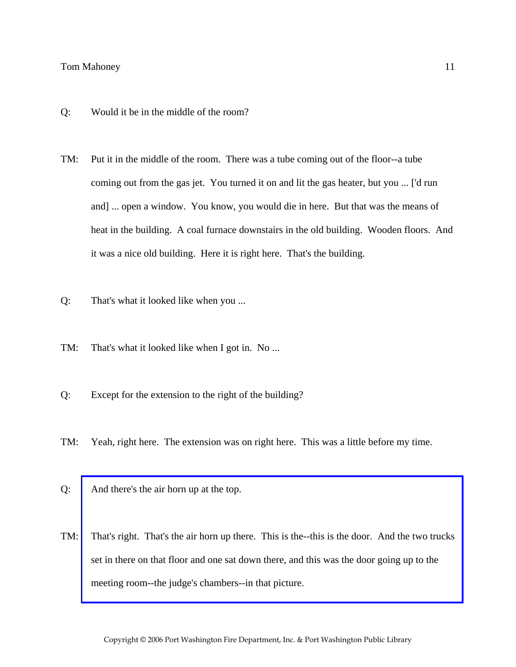- Q: Would it be in the middle of the room?
- TM: Put it in the middle of the room. There was a tube coming out of the floor--a tube coming out from the gas jet. You turned it on and lit the gas heater, but you ... ['d run and] ... open a window. You know, you would die in here. But that was the means of heat in the building. A coal furnace downstairs in the old building. Wooden floors. And it was a nice old building. Here it is right here. That's the building.
- Q: That's what it looked like when you ...
- TM: That's what it looked like when I got in. No ...
- Q: Except for the extension to the right of the building?
- TM: Yeah, right here. The extension was on right here. This was a little before my time.
- Q: And there's the air horn up at the top.
- TM: [That's right. That's the air horn up there. This is the--this is the door. And the two trucks](http://www.pwfdhistory.com/trans/mahoneyt_trans/peco_members014_web.jpg)  set in there on that floor and one sat down there, and this was the door going up to the meeting room--the judge's chambers--in that picture.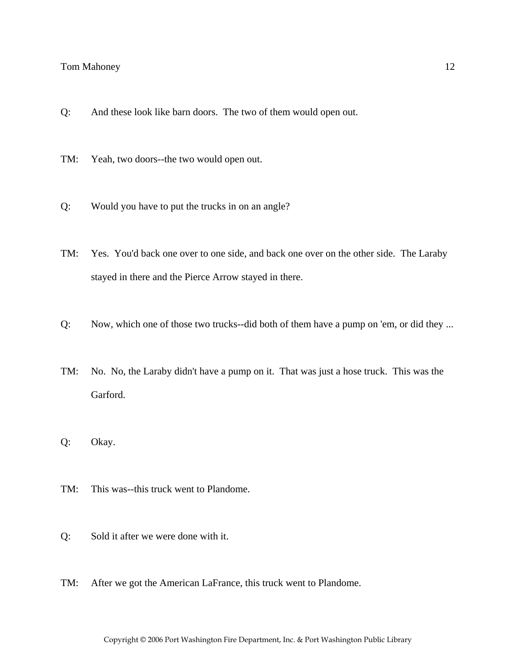- Q: And these look like barn doors. The two of them would open out.
- TM: Yeah, two doors--the two would open out.
- Q: Would you have to put the trucks in on an angle?
- TM: Yes. You'd back one over to one side, and back one over on the other side. The Laraby stayed in there and the Pierce Arrow stayed in there.
- Q: Now, which one of those two trucks--did both of them have a pump on 'em, or did they ...
- TM: No. No, the Laraby didn't have a pump on it. That was just a hose truck. This was the Garford.
- Q: Okay.
- TM: This was--this truck went to Plandome.
- Q: Sold it after we were done with it.
- TM: After we got the American LaFrance, this truck went to Plandome.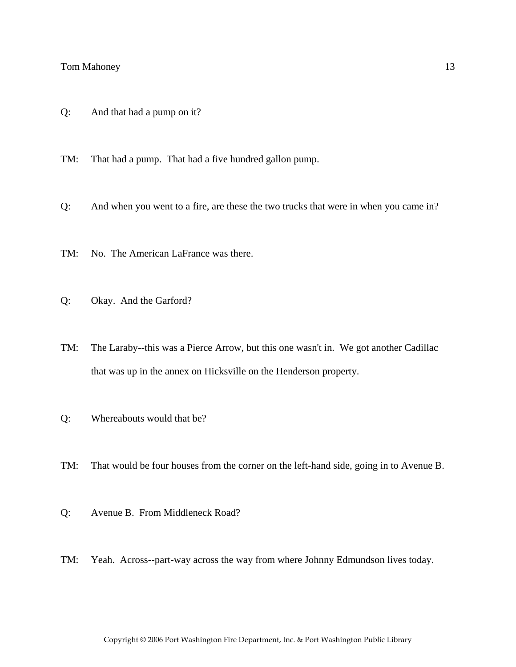Q: And that had a pump on it?

TM: That had a pump. That had a five hundred gallon pump.

- Q: And when you went to a fire, are these the two trucks that were in when you came in?
- TM: No. The American LaFrance was there.
- Q: Okay. And the Garford?
- TM: The Laraby--this was a Pierce Arrow, but this one wasn't in. We got another Cadillac that was up in the annex on Hicksville on the Henderson property.
- Q: Whereabouts would that be?
- TM: That would be four houses from the corner on the left-hand side, going in to Avenue B.
- Q: Avenue B. From Middleneck Road?
- TM: Yeah. Across--part-way across the way from where Johnny Edmundson lives today.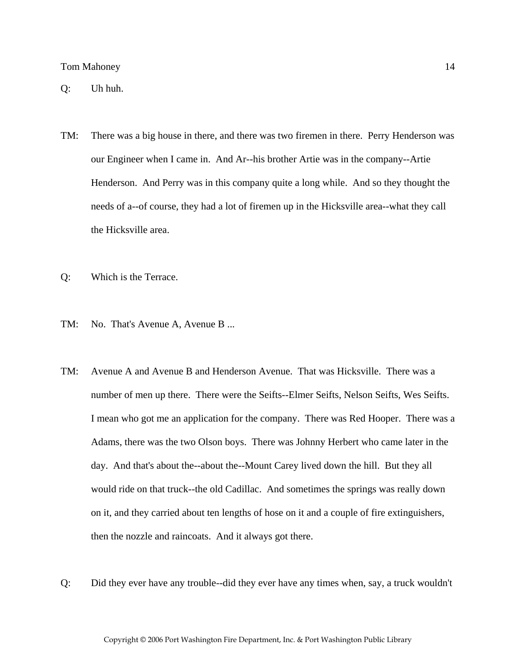- TM: There was a big house in there, and there was two firemen in there. Perry Henderson was our Engineer when I came in. And Ar--his brother Artie was in the company--Artie Henderson. And Perry was in this company quite a long while. And so they thought the needs of a--of course, they had a lot of firemen up in the Hicksville area--what they call the Hicksville area.
- Q: Which is the Terrace.
- TM: No. That's Avenue A, Avenue B ...
- TM: Avenue A and Avenue B and Henderson Avenue. That was Hicksville. There was a number of men up there. There were the Seifts--Elmer Seifts, Nelson Seifts, Wes Seifts. I mean who got me an application for the company. There was Red Hooper. There was a Adams, there was the two Olson boys. There was Johnny Herbert who came later in the day. And that's about the--about the--Mount Carey lived down the hill. But they all would ride on that truck--the old Cadillac. And sometimes the springs was really down on it, and they carried about ten lengths of hose on it and a couple of fire extinguishers, then the nozzle and raincoats. And it always got there.
- Q: Did they ever have any trouble--did they ever have any times when, say, a truck wouldn't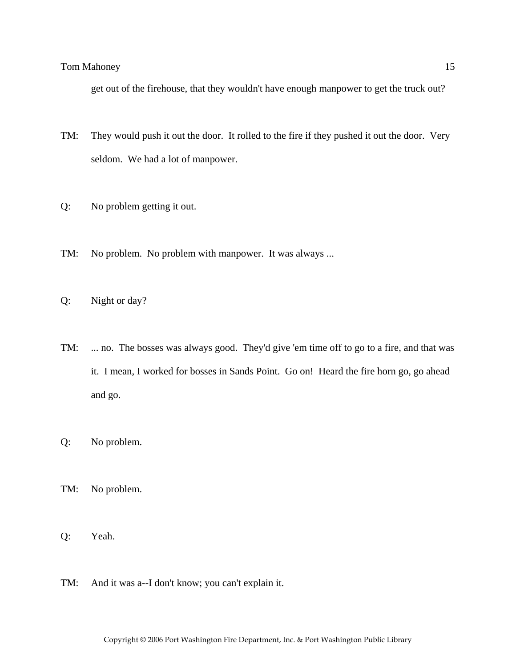get out of the firehouse, that they wouldn't have enough manpower to get the truck out?

- TM: They would push it out the door. It rolled to the fire if they pushed it out the door. Very seldom. We had a lot of manpower.
- Q: No problem getting it out.
- TM: No problem. No problem with manpower. It was always ...
- Q: Night or day?
- TM: ... no. The bosses was always good. They'd give 'em time off to go to a fire, and that was it. I mean, I worked for bosses in Sands Point. Go on! Heard the fire horn go, go ahead and go.
- Q: No problem.
- TM: No problem.
- Q: Yeah.
- TM: And it was a--I don't know; you can't explain it.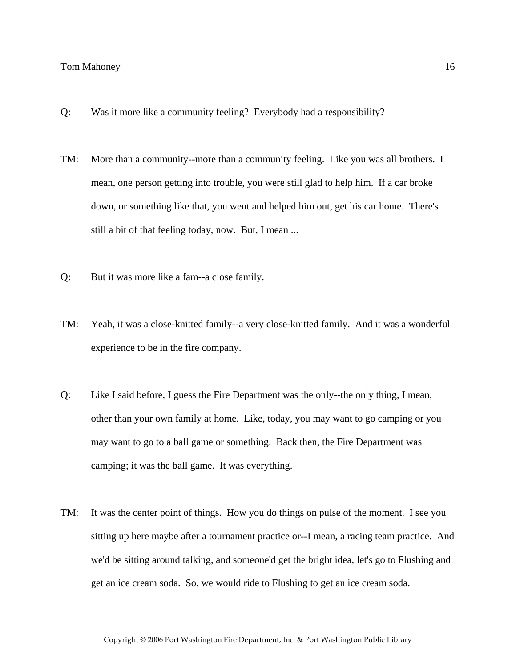- Q: Was it more like a community feeling? Everybody had a responsibility?
- TM: More than a community--more than a community feeling. Like you was all brothers. I mean, one person getting into trouble, you were still glad to help him. If a car broke down, or something like that, you went and helped him out, get his car home. There's still a bit of that feeling today, now. But, I mean ...
- Q: But it was more like a fam--a close family.
- TM: Yeah, it was a close-knitted family--a very close-knitted family. And it was a wonderful experience to be in the fire company.
- Q: Like I said before, I guess the Fire Department was the only--the only thing, I mean, other than your own family at home. Like, today, you may want to go camping or you may want to go to a ball game or something. Back then, the Fire Department was camping; it was the ball game. It was everything.
- TM: It was the center point of things. How you do things on pulse of the moment. I see you sitting up here maybe after a tournament practice or--I mean, a racing team practice. And we'd be sitting around talking, and someone'd get the bright idea, let's go to Flushing and get an ice cream soda. So, we would ride to Flushing to get an ice cream soda.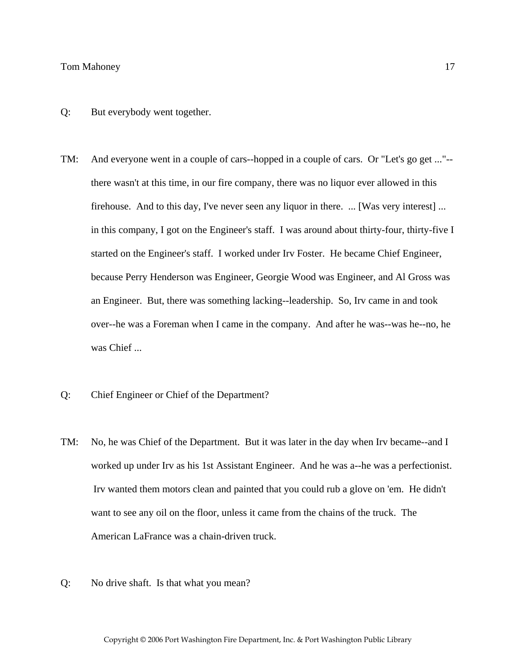- Q: But everybody went together.
- TM: And everyone went in a couple of cars--hopped in a couple of cars. Or "Let's go get ..."- there wasn't at this time, in our fire company, there was no liquor ever allowed in this firehouse. And to this day, I've never seen any liquor in there. ... [Was very interest] ... in this company, I got on the Engineer's staff. I was around about thirty-four, thirty-five I started on the Engineer's staff. I worked under Irv Foster. He became Chief Engineer, because Perry Henderson was Engineer, Georgie Wood was Engineer, and Al Gross was an Engineer. But, there was something lacking--leadership. So, Irv came in and took over--he was a Foreman when I came in the company. And after he was--was he--no, he was Chief ...
- Q: Chief Engineer or Chief of the Department?
- TM: No, he was Chief of the Department. But it was later in the day when Irv became--and I worked up under Irv as his 1st Assistant Engineer. And he was a--he was a perfectionist. Irv wanted them motors clean and painted that you could rub a glove on 'em. He didn't want to see any oil on the floor, unless it came from the chains of the truck. The American LaFrance was a chain-driven truck.
- Q: No drive shaft. Is that what you mean?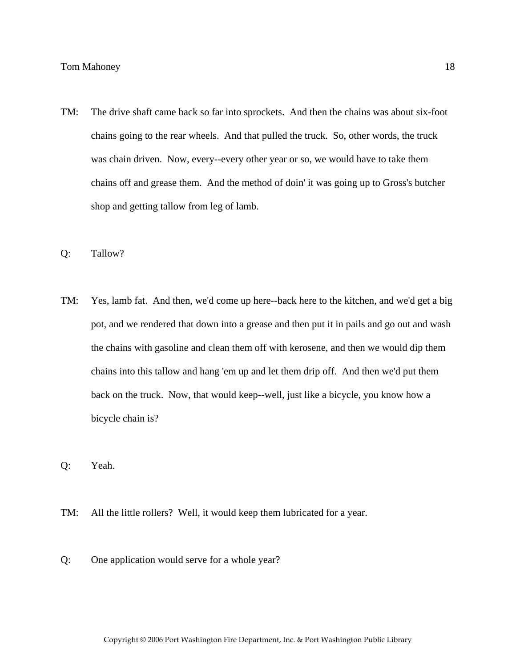- TM: The drive shaft came back so far into sprockets. And then the chains was about six-foot chains going to the rear wheels. And that pulled the truck. So, other words, the truck was chain driven. Now, every--every other year or so, we would have to take them chains off and grease them. And the method of doin' it was going up to Gross's butcher shop and getting tallow from leg of lamb.
- Q: Tallow?
- TM: Yes, lamb fat. And then, we'd come up here--back here to the kitchen, and we'd get a big pot, and we rendered that down into a grease and then put it in pails and go out and wash the chains with gasoline and clean them off with kerosene, and then we would dip them chains into this tallow and hang 'em up and let them drip off. And then we'd put them back on the truck. Now, that would keep--well, just like a bicycle, you know how a bicycle chain is?
- Q: Yeah.
- TM: All the little rollers? Well, it would keep them lubricated for a year.
- Q: One application would serve for a whole year?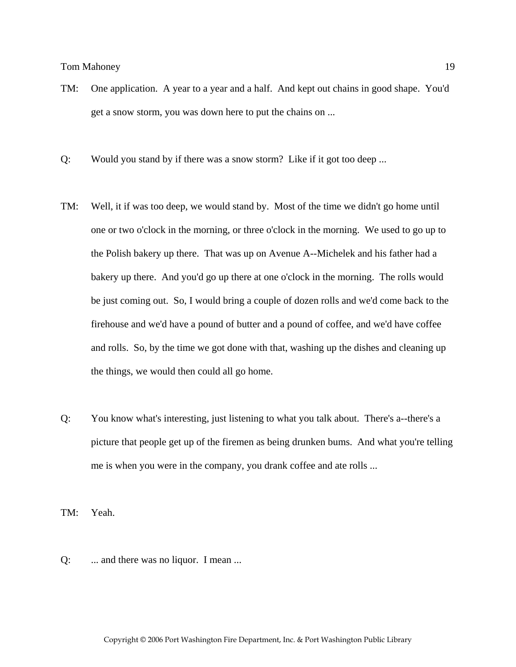- TM: One application. A year to a year and a half. And kept out chains in good shape. You'd get a snow storm, you was down here to put the chains on ...
- Q: Would you stand by if there was a snow storm? Like if it got too deep ...
- TM: Well, it if was too deep, we would stand by. Most of the time we didn't go home until one or two o'clock in the morning, or three o'clock in the morning. We used to go up to the Polish bakery up there. That was up on Avenue A--Michelek and his father had a bakery up there. And you'd go up there at one o'clock in the morning. The rolls would be just coming out. So, I would bring a couple of dozen rolls and we'd come back to the firehouse and we'd have a pound of butter and a pound of coffee, and we'd have coffee and rolls. So, by the time we got done with that, washing up the dishes and cleaning up the things, we would then could all go home.
- Q: You know what's interesting, just listening to what you talk about. There's a--there's a picture that people get up of the firemen as being drunken bums. And what you're telling me is when you were in the company, you drank coffee and ate rolls ...

TM: Yeah.

Q: ... and there was no liquor. I mean ...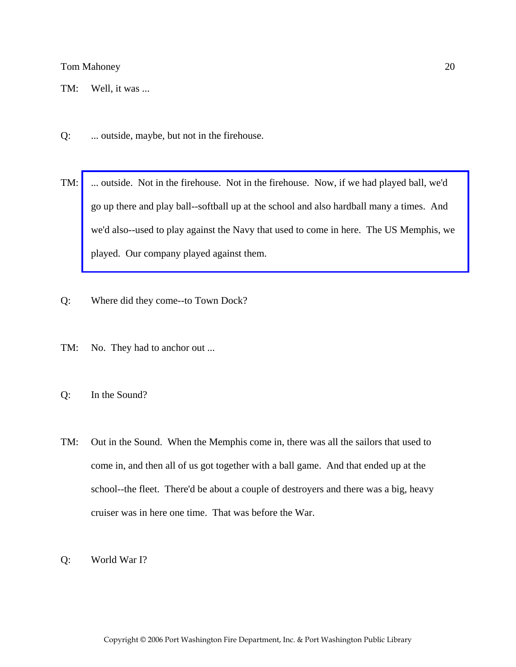TM: Well, it was ...

- Q: ... outside, maybe, but not in the firehouse.
- TM: [... outside. Not in the firehouse. Not in the firehouse. Now, if we had played ball, we'd](http://www.pwfdhistory.com/trans/mahoneyt_trans/peco_misc003.jpg)  go up there and play ball--softball up at the school and also hardball many a times. And we'd also--used to play against the Navy that used to come in here. The US Memphis, we played. Our company played against them.
- Q: Where did they come--to Town Dock?
- TM: No. They had to anchor out ...
- Q: In the Sound?
- TM: Out in the Sound. When the Memphis come in, there was all the sailors that used to come in, and then all of us got together with a ball game. And that ended up at the school--the fleet. There'd be about a couple of destroyers and there was a big, heavy cruiser was in here one time. That was before the War.
- Q: World War I?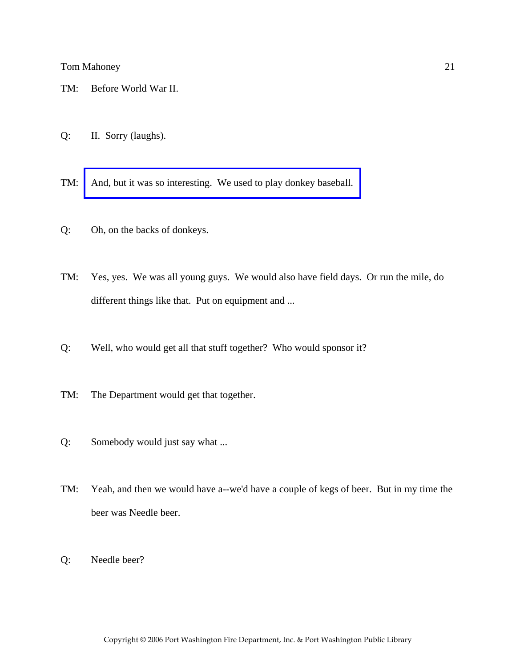- TM: Before World War II.
- Q: II. Sorry (laughs).
- TM: [And, but it was so interesting. We used to play donkey baseball.](http://www.pwfdhistory.com/trans/mahoneyt_trans/pwfd_news056_web.pdf)
- Q: Oh, on the backs of donkeys.
- TM: Yes, yes. We was all young guys. We would also have field days. Or run the mile, do different things like that. Put on equipment and ...
- Q: Well, who would get all that stuff together? Who would sponsor it?
- TM: The Department would get that together.
- Q: Somebody would just say what ...
- TM: Yeah, and then we would have a--we'd have a couple of kegs of beer. But in my time the beer was Needle beer.
- Q: Needle beer?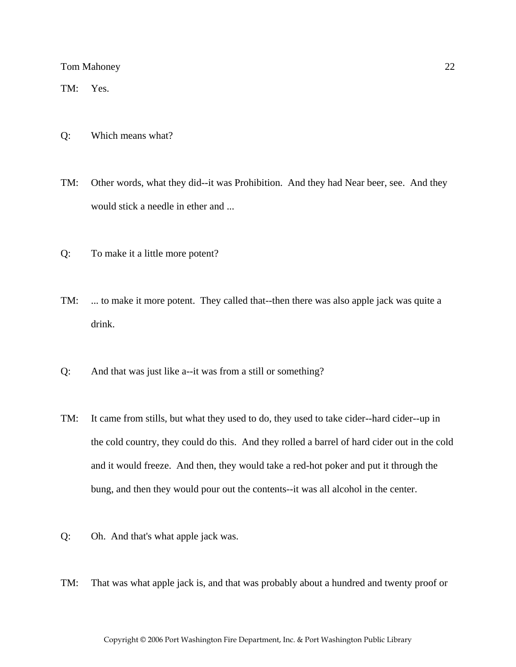TM: Yes.

- Q: Which means what?
- TM: Other words, what they did--it was Prohibition. And they had Near beer, see. And they would stick a needle in ether and ...
- Q: To make it a little more potent?
- TM: ... to make it more potent. They called that--then there was also apple jack was quite a drink.
- Q: And that was just like a--it was from a still or something?
- TM: It came from stills, but what they used to do, they used to take cider--hard cider--up in the cold country, they could do this. And they rolled a barrel of hard cider out in the cold and it would freeze. And then, they would take a red-hot poker and put it through the bung, and then they would pour out the contents--it was all alcohol in the center.
- Q: Oh. And that's what apple jack was.
- TM: That was what apple jack is, and that was probably about a hundred and twenty proof or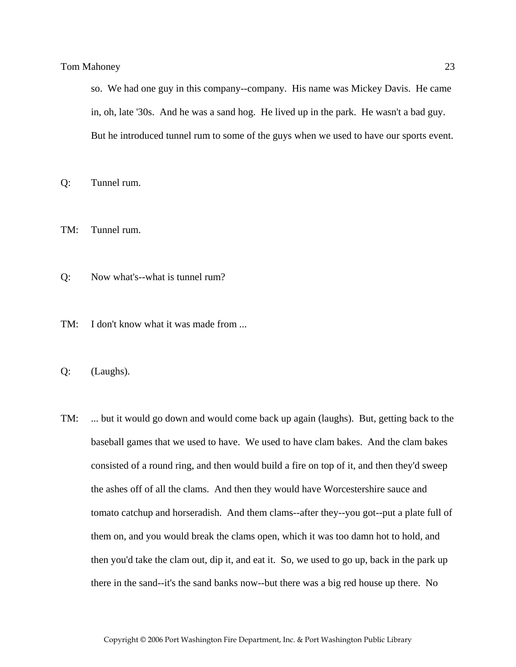so. We had one guy in this company--company. His name was Mickey Davis. He came in, oh, late '30s. And he was a sand hog. He lived up in the park. He wasn't a bad guy. But he introduced tunnel rum to some of the guys when we used to have our sports event.

Q: Tunnel rum.

TM: Tunnel rum.

- Q: Now what's--what is tunnel rum?
- TM: I don't know what it was made from ...

Q: (Laughs).

TM: ... but it would go down and would come back up again (laughs). But, getting back to the baseball games that we used to have. We used to have clam bakes. And the clam bakes consisted of a round ring, and then would build a fire on top of it, and then they'd sweep the ashes off of all the clams. And then they would have Worcestershire sauce and tomato catchup and horseradish. And them clams--after they--you got--put a plate full of them on, and you would break the clams open, which it was too damn hot to hold, and then you'd take the clam out, dip it, and eat it. So, we used to go up, back in the park up there in the sand--it's the sand banks now--but there was a big red house up there. No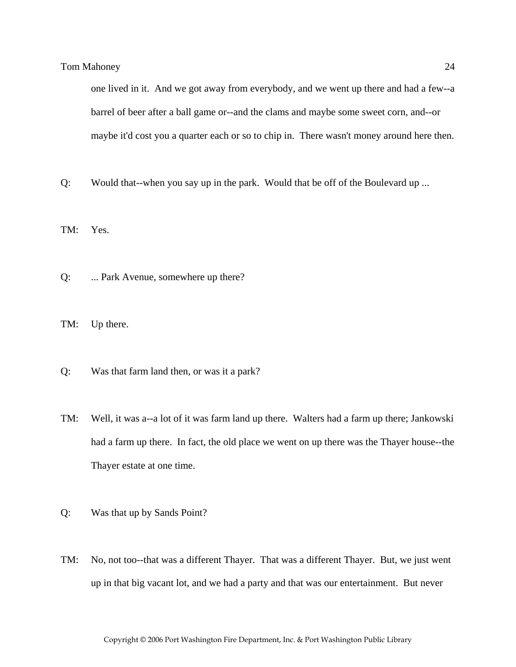one lived in it. And we got away from everybody, and we went up there and had a few--a barrel of beer after a ball game or--and the clams and maybe some sweet corn, and--or maybe it'd cost you a quarter each or so to chip in. There wasn't money around here then.

Q: Would that--when you say up in the park. Would that be off of the Boulevard up ...

TM: Yes.

- Q: ... Park Avenue, somewhere up there?
- TM: Up there.
- Q: Was that farm land then, or was it a park?
- TM: Well, it was a--a lot of it was farm land up there. Walters had a farm up there; Jankowski had a farm up there. In fact, the old place we went on up there was the Thayer house--the Thayer estate at one time.
- Q: Was that up by Sands Point?
- TM: No, not too--that was a different Thayer. That was a different Thayer. But, we just went up in that big vacant lot, and we had a party and that was our entertainment. But never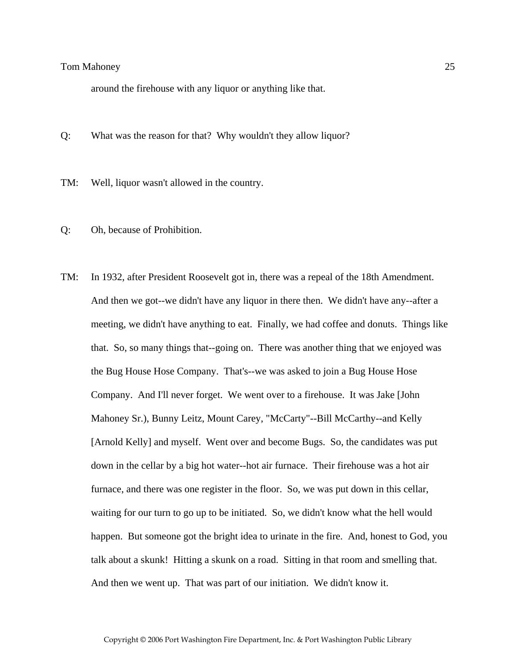around the firehouse with any liquor or anything like that.

Q: What was the reason for that? Why wouldn't they allow liquor?

- TM: Well, liquor wasn't allowed in the country.
- Q: Oh, because of Prohibition.
- TM: In 1932, after President Roosevelt got in, there was a repeal of the 18th Amendment. And then we got--we didn't have any liquor in there then. We didn't have any--after a meeting, we didn't have anything to eat. Finally, we had coffee and donuts. Things like that. So, so many things that--going on. There was another thing that we enjoyed was the Bug House Hose Company. That's--we was asked to join a Bug House Hose Company. And I'll never forget. We went over to a firehouse. It was Jake [John Mahoney Sr.), Bunny Leitz, Mount Carey, "McCarty"--Bill McCarthy--and Kelly [Arnold Kelly] and myself. Went over and become Bugs. So, the candidates was put down in the cellar by a big hot water--hot air furnace. Their firehouse was a hot air furnace, and there was one register in the floor. So, we was put down in this cellar, waiting for our turn to go up to be initiated. So, we didn't know what the hell would happen. But someone got the bright idea to urinate in the fire. And, honest to God, you talk about a skunk! Hitting a skunk on a road. Sitting in that room and smelling that. And then we went up. That was part of our initiation. We didn't know it.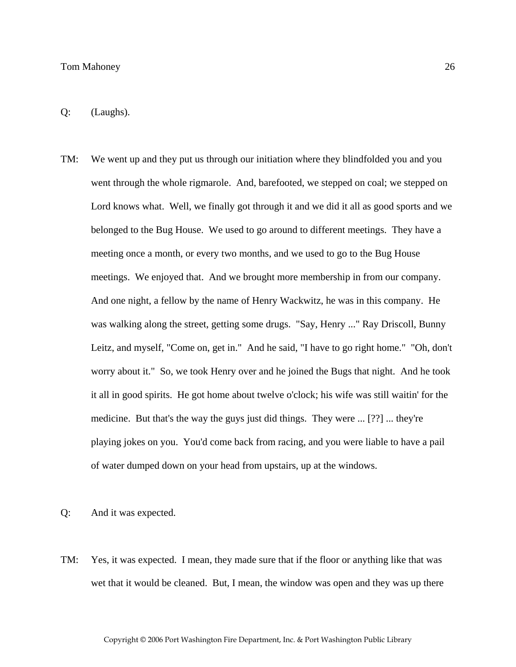Q: (Laughs).

TM: We went up and they put us through our initiation where they blindfolded you and you went through the whole rigmarole. And, barefooted, we stepped on coal; we stepped on Lord knows what. Well, we finally got through it and we did it all as good sports and we belonged to the Bug House. We used to go around to different meetings. They have a meeting once a month, or every two months, and we used to go to the Bug House meetings. We enjoyed that. And we brought more membership in from our company. And one night, a fellow by the name of Henry Wackwitz, he was in this company. He was walking along the street, getting some drugs. "Say, Henry ..." Ray Driscoll, Bunny Leitz, and myself, "Come on, get in." And he said, "I have to go right home." "Oh, don't worry about it." So, we took Henry over and he joined the Bugs that night. And he took it all in good spirits. He got home about twelve o'clock; his wife was still waitin' for the medicine. But that's the way the guys just did things. They were ... [??] ... they're playing jokes on you. You'd come back from racing, and you were liable to have a pail of water dumped down on your head from upstairs, up at the windows.

Q: And it was expected.

TM: Yes, it was expected. I mean, they made sure that if the floor or anything like that was wet that it would be cleaned. But, I mean, the window was open and they was up there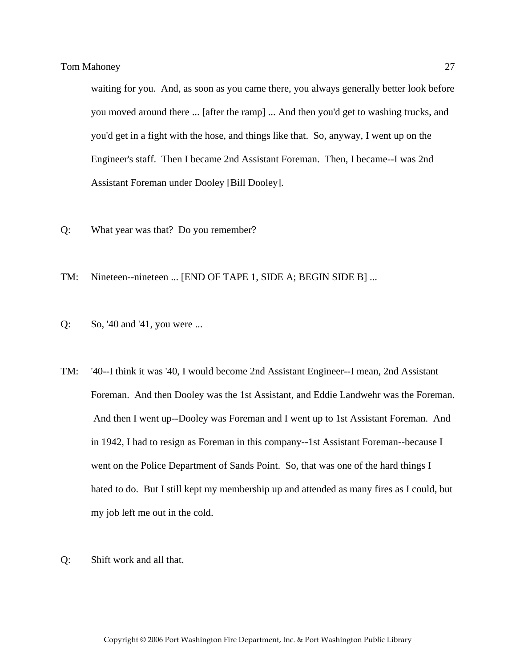waiting for you. And, as soon as you came there, you always generally better look before you moved around there ... [after the ramp] ... And then you'd get to washing trucks, and you'd get in a fight with the hose, and things like that. So, anyway, I went up on the Engineer's staff. Then I became 2nd Assistant Foreman. Then, I became--I was 2nd Assistant Foreman under Dooley [Bill Dooley].

- Q: What year was that? Do you remember?
- TM: Nineteen--nineteen ... [END OF TAPE 1, SIDE A; BEGIN SIDE B] ...
- Q: So, '40 and '41, you were ...
- TM: '40--I think it was '40, I would become 2nd Assistant Engineer--I mean, 2nd Assistant Foreman. And then Dooley was the 1st Assistant, and Eddie Landwehr was the Foreman. And then I went up--Dooley was Foreman and I went up to 1st Assistant Foreman. And in 1942, I had to resign as Foreman in this company--1st Assistant Foreman--because I went on the Police Department of Sands Point. So, that was one of the hard things I hated to do. But I still kept my membership up and attended as many fires as I could, but my job left me out in the cold.
- Q: Shift work and all that.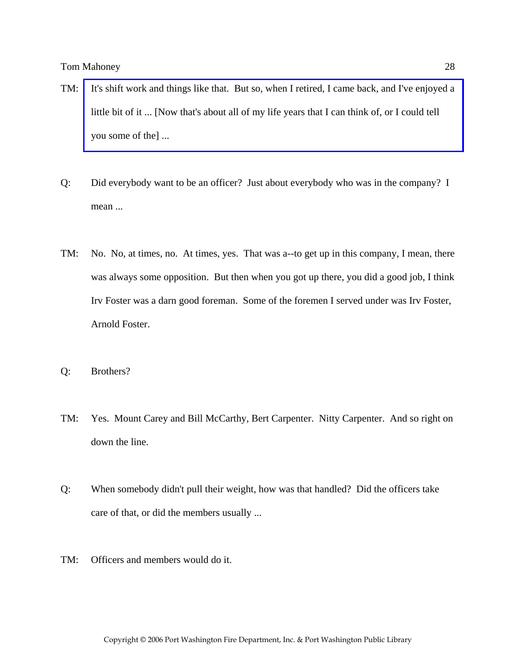- TM: [It's shift work and things like that. But so, when I retired, I came back, and I've enjoyed a](http://www.pwfdhistory.com/trans/mahoneyt_trans/news_cocks247a_web.jpg)  little bit of it ... [Now that's about all of my life years that I can think of, or I could tell you some of the] ...
- Q: Did everybody want to be an officer? Just about everybody who was in the company? I mean ...
- TM: No. No, at times, no. At times, yes. That was a--to get up in this company, I mean, there was always some opposition. But then when you got up there, you did a good job, I think Irv Foster was a darn good foreman. Some of the foremen I served under was Irv Foster, Arnold Foster.
- Q: Brothers?
- TM: Yes. Mount Carey and Bill McCarthy, Bert Carpenter. Nitty Carpenter. And so right on down the line.
- Q: When somebody didn't pull their weight, how was that handled? Did the officers take care of that, or did the members usually ...
- TM: Officers and members would do it.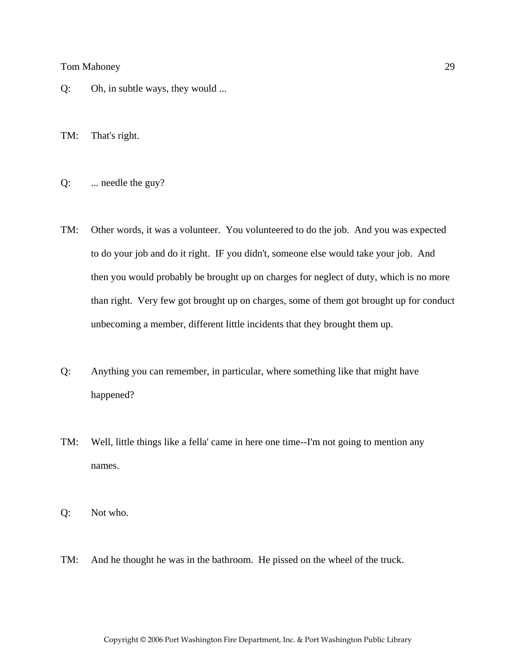- Q: Oh, in subtle ways, they would ...
- TM: That's right.
- Q: ... needle the guy?
- TM: Other words, it was a volunteer. You volunteered to do the job. And you was expected to do your job and do it right. IF you didn't, someone else would take your job. And then you would probably be brought up on charges for neglect of duty, which is no more than right. Very few got brought up on charges, some of them got brought up for conduct unbecoming a member, different little incidents that they brought them up.
- Q: Anything you can remember, in particular, where something like that might have happened?
- TM: Well, little things like a fella' came in here one time--I'm not going to mention any names.
- Q: Not who.
- TM: And he thought he was in the bathroom. He pissed on the wheel of the truck.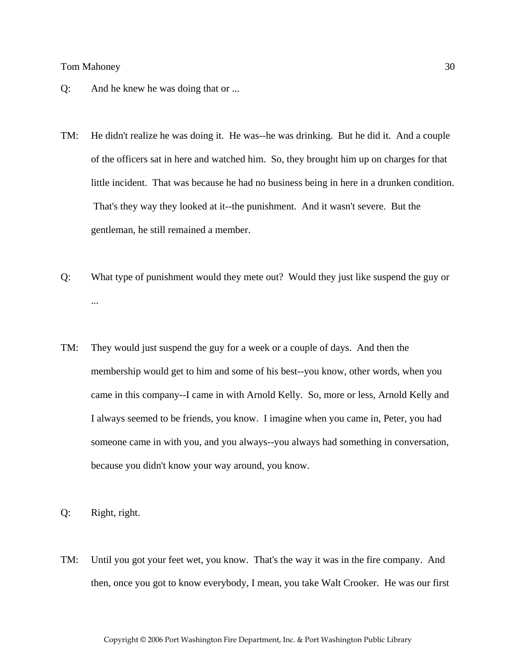- Q: And he knew he was doing that or ...
- TM: He didn't realize he was doing it. He was--he was drinking. But he did it. And a couple of the officers sat in here and watched him. So, they brought him up on charges for that little incident. That was because he had no business being in here in a drunken condition. That's they way they looked at it--the punishment. And it wasn't severe. But the gentleman, he still remained a member.
- Q: What type of punishment would they mete out? Would they just like suspend the guy or ...
- TM: They would just suspend the guy for a week or a couple of days. And then the membership would get to him and some of his best--you know, other words, when you came in this company--I came in with Arnold Kelly. So, more or less, Arnold Kelly and I always seemed to be friends, you know. I imagine when you came in, Peter, you had someone came in with you, and you always--you always had something in conversation, because you didn't know your way around, you know.
- Q: Right, right.
- TM: Until you got your feet wet, you know. That's the way it was in the fire company. And then, once you got to know everybody, I mean, you take Walt Crooker. He was our first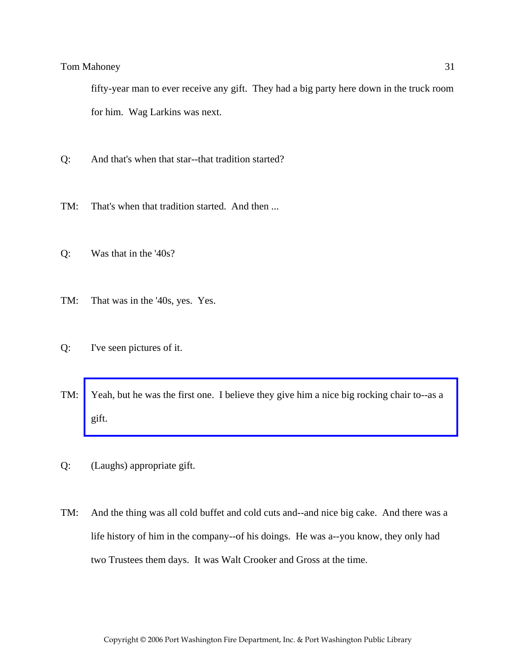fifty-year man to ever receive any gift. They had a big party here down in the truck room for him. Wag Larkins was next.

- Q: And that's when that star--that tradition started?
- TM: That's when that tradition started. And then ...
- Q: Was that in the '40s?
- TM: That was in the '40s, yes. Yes.
- Q: I've seen pictures of it.
- TM: [Yeah, but he was the first one. I believe they give him a nice big rocking chair to--as a](http://www.pwfdhistory.com/trans/mahoneyt_trans/peco_members013_web.jpg)  gift.
- Q: (Laughs) appropriate gift.
- TM: And the thing was all cold buffet and cold cuts and--and nice big cake. And there was a life history of him in the company--of his doings. He was a--you know, they only had two Trustees them days. It was Walt Crooker and Gross at the time.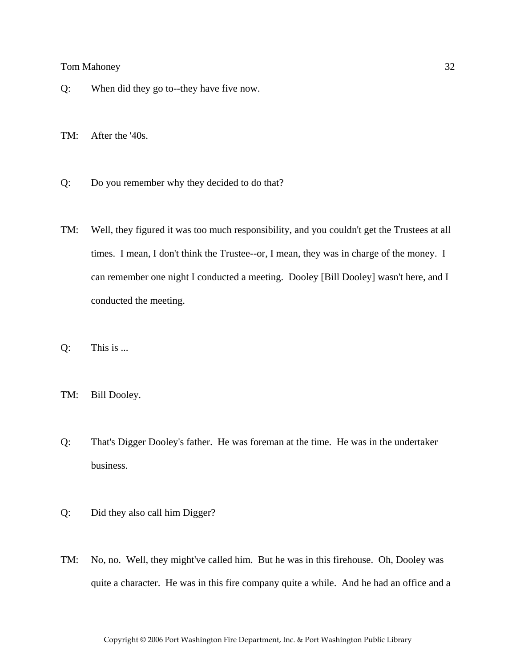Q: When did they go to--they have five now.

TM: After the '40s.

- Q: Do you remember why they decided to do that?
- TM: Well, they figured it was too much responsibility, and you couldn't get the Trustees at all times. I mean, I don't think the Trustee--or, I mean, they was in charge of the money. I can remember one night I conducted a meeting. Dooley [Bill Dooley] wasn't here, and I conducted the meeting.
- Q: This is ...
- TM: Bill Dooley.
- Q: That's Digger Dooley's father. He was foreman at the time. He was in the undertaker business.
- Q: Did they also call him Digger?
- TM: No, no. Well, they might've called him. But he was in this firehouse. Oh, Dooley was quite a character. He was in this fire company quite a while. And he had an office and a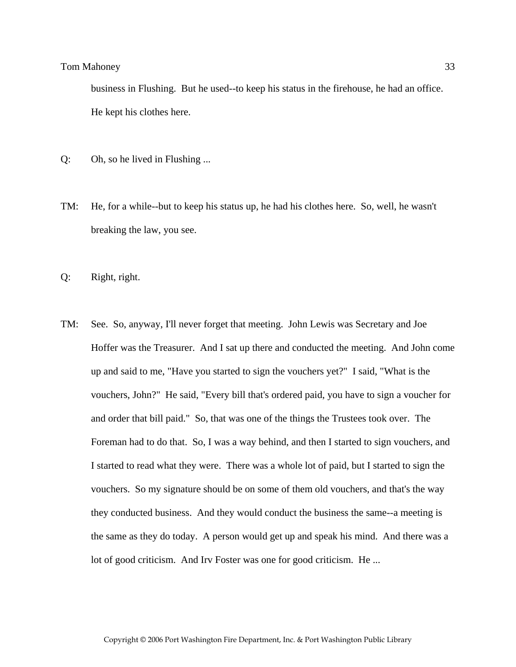business in Flushing. But he used--to keep his status in the firehouse, he had an office. He kept his clothes here.

- Q: Oh, so he lived in Flushing ...
- TM: He, for a while--but to keep his status up, he had his clothes here. So, well, he wasn't breaking the law, you see.
- Q: Right, right.
- TM: See. So, anyway, I'll never forget that meeting. John Lewis was Secretary and Joe Hoffer was the Treasurer. And I sat up there and conducted the meeting. And John come up and said to me, "Have you started to sign the vouchers yet?" I said, "What is the vouchers, John?" He said, "Every bill that's ordered paid, you have to sign a voucher for and order that bill paid." So, that was one of the things the Trustees took over. The Foreman had to do that. So, I was a way behind, and then I started to sign vouchers, and I started to read what they were. There was a whole lot of paid, but I started to sign the vouchers. So my signature should be on some of them old vouchers, and that's the way they conducted business. And they would conduct the business the same--a meeting is the same as they do today. A person would get up and speak his mind. And there was a lot of good criticism. And Irv Foster was one for good criticism. He ...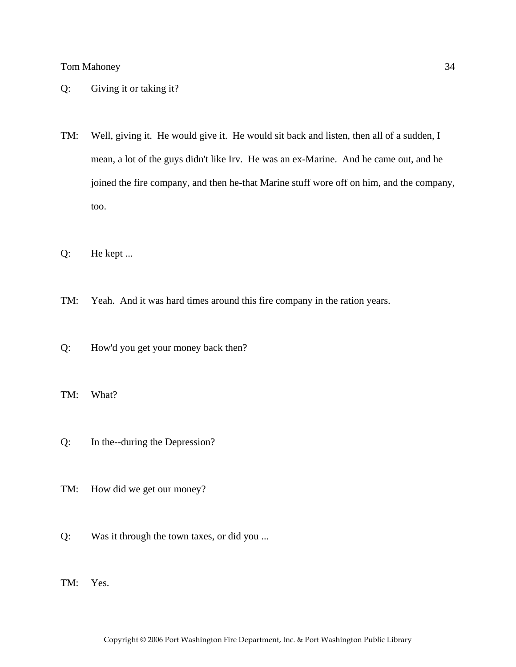- Q: Giving it or taking it?
- TM: Well, giving it. He would give it. He would sit back and listen, then all of a sudden, I mean, a lot of the guys didn't like Irv. He was an ex-Marine. And he came out, and he joined the fire company, and then he-that Marine stuff wore off on him, and the company, too.
- Q: He kept ...
- TM: Yeah. And it was hard times around this fire company in the ration years.
- Q: How'd you get your money back then?
- TM: What?
- Q: In the--during the Depression?
- TM: How did we get our money?
- Q: Was it through the town taxes, or did you ...
- TM: Yes.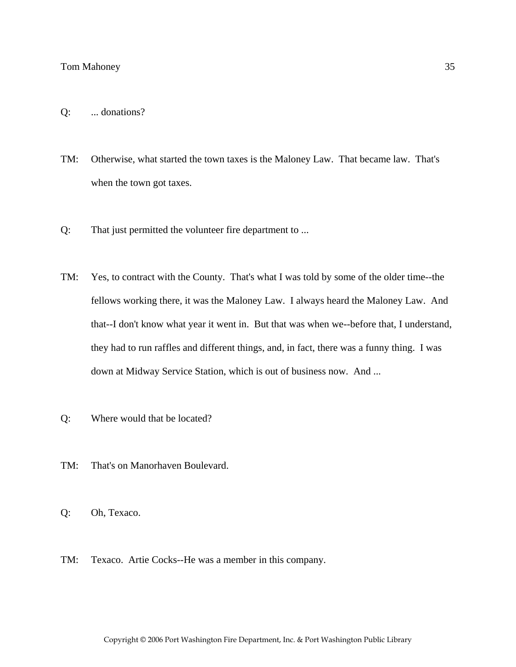- Q: ... donations?
- TM: Otherwise, what started the town taxes is the Maloney Law. That became law. That's when the town got taxes.
- Q: That just permitted the volunteer fire department to ...
- TM: Yes, to contract with the County. That's what I was told by some of the older time--the fellows working there, it was the Maloney Law. I always heard the Maloney Law. And that--I don't know what year it went in. But that was when we--before that, I understand, they had to run raffles and different things, and, in fact, there was a funny thing. I was down at Midway Service Station, which is out of business now. And ...
- Q: Where would that be located?
- TM: That's on Manorhaven Boulevard.
- Q: Oh, Texaco.
- TM: Texaco. Artie Cocks--He was a member in this company.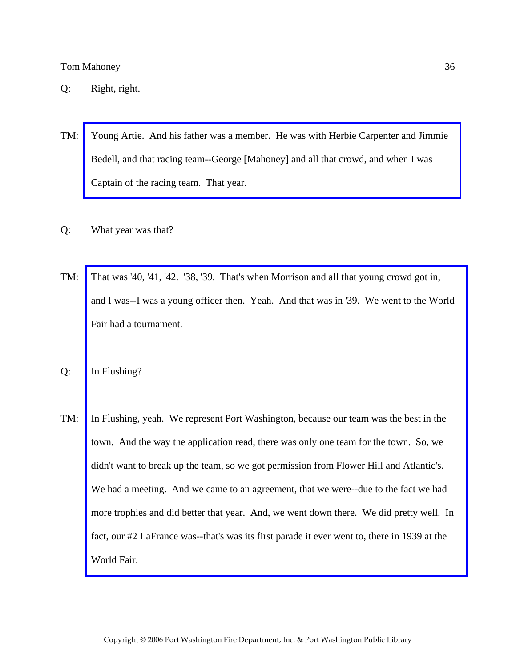- TM: [Young Artie. And his father was a member. He was with Herbie Carpenter and Jimmie](http://www.pwfdhistory.com/trans/mahoneyt_trans/peco_racing03_web.jpg)  Bedell, and that racing team--George [Mahoney] and all that crowd, and when I was Captain of the racing team. That year.
- Q: What year was that?
- TM: That was '40, '41, '42. '38, '39. That's when Morrison and all that young crowd got in, [and I was--I was a young officer then. Yeah. And that was in '39. We went to the World](http://www.pwfdhistory.com/trans/mahoneyt_trans/pwfd_news055.jpg)  Fair had a tournament.
- Q: In Flushing?
- TM: In Flushing, yeah. We represent Port Washington, because our team was the best in the town. And the way the application read, there was only one team for the town. So, we didn't want to break up the team, so we got permission from Flower Hill and Atlantic's. We had a meeting. And we came to an agreement, that we were--due to the fact we had more trophies and did better that year. And, we went down there. We did pretty well. In fact, our #2 LaFrance was--that's was its first parade it ever went to, there in 1939 at the World Fair.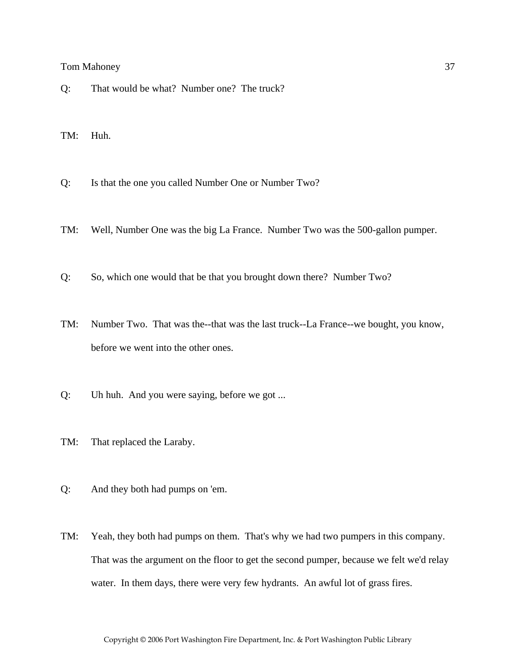- Q: That would be what? Number one? The truck?
- TM: Huh.
- Q: Is that the one you called Number One or Number Two?
- TM: Well, Number One was the big La France. Number Two was the 500-gallon pumper.
- Q: So, which one would that be that you brought down there? Number Two?
- TM: Number Two. That was the--that was the last truck--La France--we bought, you know, before we went into the other ones.
- Q: Uh huh. And you were saying, before we got ...
- TM: That replaced the Laraby.
- Q: And they both had pumps on 'em.
- TM: Yeah, they both had pumps on them. That's why we had two pumpers in this company. That was the argument on the floor to get the second pumper, because we felt we'd relay water. In them days, there were very few hydrants. An awful lot of grass fires.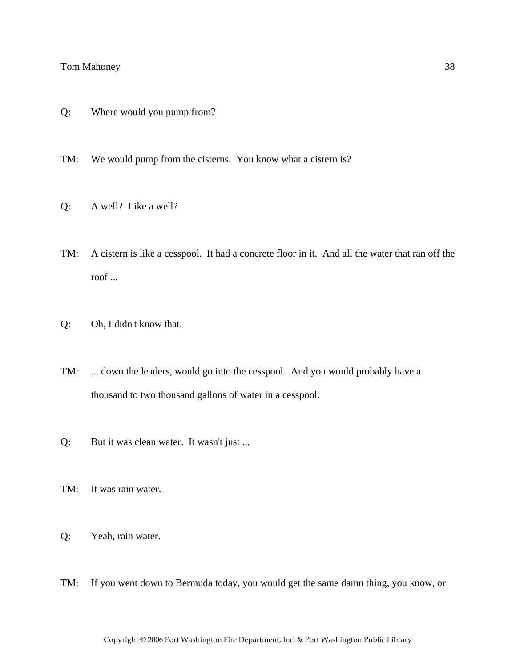- Q: Where would you pump from?
- TM: We would pump from the cisterns. You know what a cistern is?
- Q: A well? Like a well?
- TM: A cistern is like a cesspool. It had a concrete floor in it. And all the water that ran off the roof ...
- Q: Oh, I didn't know that.
- TM: ... down the leaders, would go into the cesspool. And you would probably have a thousand to two thousand gallons of water in a cesspool.
- Q: But it was clean water. It wasn't just ...
- TM: It was rain water.
- Q: Yeah, rain water.
- TM: If you went down to Bermuda today, you would get the same damn thing, you know, or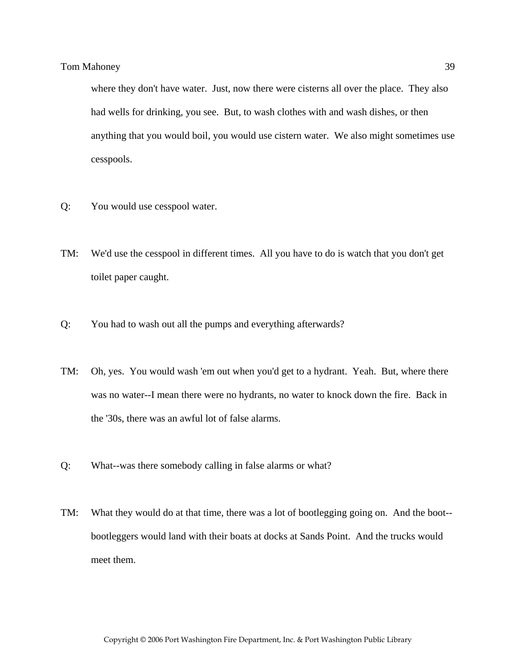where they don't have water. Just, now there were cisterns all over the place. They also had wells for drinking, you see. But, to wash clothes with and wash dishes, or then anything that you would boil, you would use cistern water. We also might sometimes use cesspools.

- Q: You would use cesspool water.
- TM: We'd use the cesspool in different times. All you have to do is watch that you don't get toilet paper caught.
- Q: You had to wash out all the pumps and everything afterwards?
- TM: Oh, yes. You would wash 'em out when you'd get to a hydrant. Yeah. But, where there was no water--I mean there were no hydrants, no water to knock down the fire. Back in the '30s, there was an awful lot of false alarms.
- Q: What--was there somebody calling in false alarms or what?
- TM: What they would do at that time, there was a lot of bootlegging going on. And the boot- bootleggers would land with their boats at docks at Sands Point. And the trucks would meet them.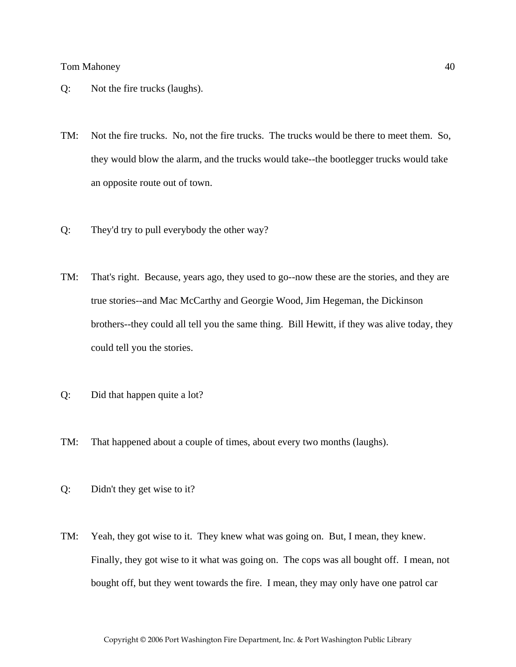- Q: Not the fire trucks (laughs).
- TM: Not the fire trucks. No, not the fire trucks. The trucks would be there to meet them. So, they would blow the alarm, and the trucks would take--the bootlegger trucks would take an opposite route out of town.
- Q: They'd try to pull everybody the other way?
- TM: That's right. Because, years ago, they used to go--now these are the stories, and they are true stories--and Mac McCarthy and Georgie Wood, Jim Hegeman, the Dickinson brothers--they could all tell you the same thing. Bill Hewitt, if they was alive today, they could tell you the stories.
- Q: Did that happen quite a lot?
- TM: That happened about a couple of times, about every two months (laughs).
- Q: Didn't they get wise to it?
- TM: Yeah, they got wise to it. They knew what was going on. But, I mean, they knew. Finally, they got wise to it what was going on. The cops was all bought off. I mean, not bought off, but they went towards the fire. I mean, they may only have one patrol car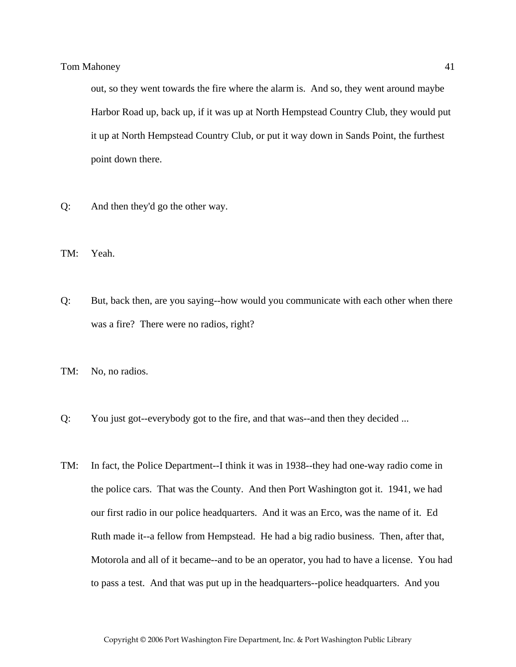out, so they went towards the fire where the alarm is. And so, they went around maybe Harbor Road up, back up, if it was up at North Hempstead Country Club, they would put it up at North Hempstead Country Club, or put it way down in Sands Point, the furthest point down there.

- Q: And then they'd go the other way.
- TM: Yeah.
- Q: But, back then, are you saying--how would you communicate with each other when there was a fire? There were no radios, right?
- TM: No, no radios.
- Q: You just got--everybody got to the fire, and that was--and then they decided ...
- TM: In fact, the Police Department--I think it was in 1938--they had one-way radio come in the police cars. That was the County. And then Port Washington got it. 1941, we had our first radio in our police headquarters. And it was an Erco, was the name of it. Ed Ruth made it--a fellow from Hempstead. He had a big radio business. Then, after that, Motorola and all of it became--and to be an operator, you had to have a license. You had to pass a test. And that was put up in the headquarters--police headquarters. And you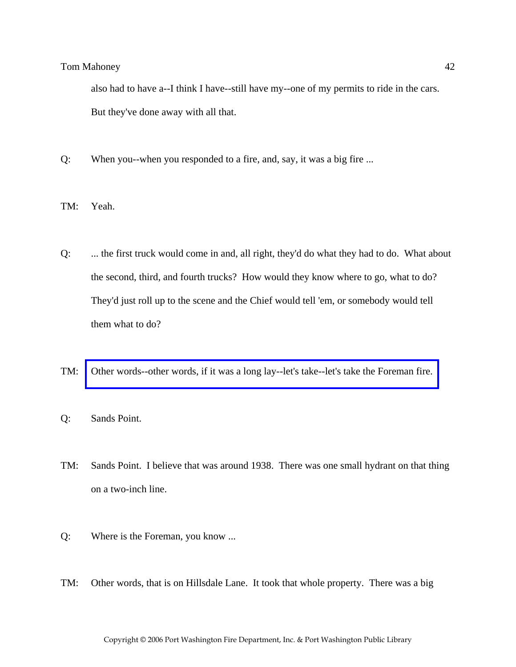also had to have a--I think I have--still have my--one of my permits to ride in the cars. But they've done away with all that.

- Q: When you--when you responded to a fire, and, say, it was a big fire ...
- TM: Yeah.
- Q: ... the first truck would come in and, all right, they'd do what they had to do. What about the second, third, and fourth trucks? How would they know where to go, what to do? They'd just roll up to the scene and the Chief would tell 'em, or somebody would tell them what to do?
- TM: [Other words--other words, if it was a long lay--let's take--let's take the Foreman fire.](http://www.pwfdhistory.com/trans/mahoneyt_trans/pwfd_fires08_web.jpg)
- Q: Sands Point.
- TM: Sands Point. I believe that was around 1938. There was one small hydrant on that thing on a two-inch line.
- Q: Where is the Foreman, you know ...
- TM: Other words, that is on Hillsdale Lane. It took that whole property. There was a big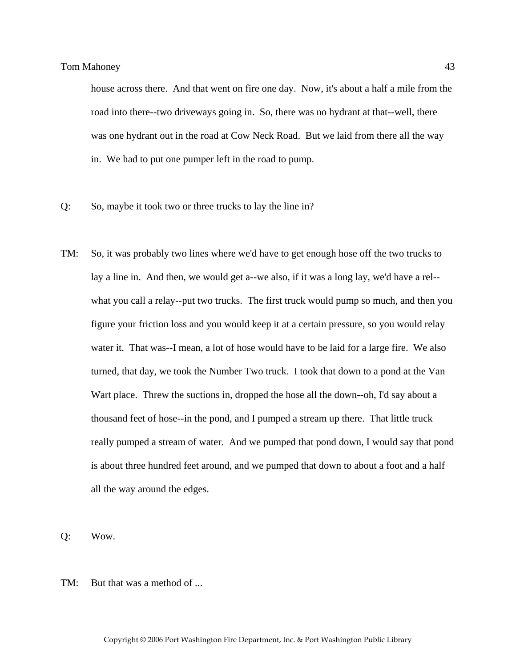house across there. And that went on fire one day. Now, it's about a half a mile from the road into there--two driveways going in. So, there was no hydrant at that--well, there was one hydrant out in the road at Cow Neck Road. But we laid from there all the way in. We had to put one pumper left in the road to pump.

- Q: So, maybe it took two or three trucks to lay the line in?
- TM: So, it was probably two lines where we'd have to get enough hose off the two trucks to lay a line in. And then, we would get a--we also, if it was a long lay, we'd have a rel- what you call a relay--put two trucks. The first truck would pump so much, and then you figure your friction loss and you would keep it at a certain pressure, so you would relay water it. That was--I mean, a lot of hose would have to be laid for a large fire. We also turned, that day, we took the Number Two truck. I took that down to a pond at the Van Wart place. Threw the suctions in, dropped the hose all the down--oh, I'd say about a thousand feet of hose--in the pond, and I pumped a stream up there. That little truck really pumped a stream of water. And we pumped that pond down, I would say that pond is about three hundred feet around, and we pumped that down to about a foot and a half all the way around the edges.
- Q: Wow.
- TM: But that was a method of ...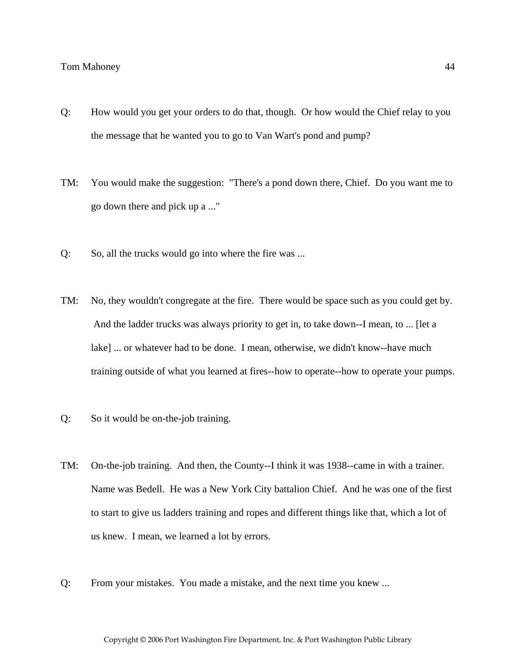- Q: How would you get your orders to do that, though. Or how would the Chief relay to you the message that he wanted you to go to Van Wart's pond and pump?
- TM: You would make the suggestion: "There's a pond down there, Chief. Do you want me to go down there and pick up a ..."
- Q: So, all the trucks would go into where the fire was ...
- TM: No, they wouldn't congregate at the fire. There would be space such as you could get by. And the ladder trucks was always priority to get in, to take down--I mean, to ... [let a lake] ... or whatever had to be done. I mean, otherwise, we didn't know--have much training outside of what you learned at fires--how to operate--how to operate your pumps.
- Q: So it would be on-the-job training.
- TM: On-the-job training. And then, the County--I think it was 1938--came in with a trainer. Name was Bedell. He was a New York City battalion Chief. And he was one of the first to start to give us ladders training and ropes and different things like that, which a lot of us knew. I mean, we learned a lot by errors.
- Q: From your mistakes. You made a mistake, and the next time you knew ...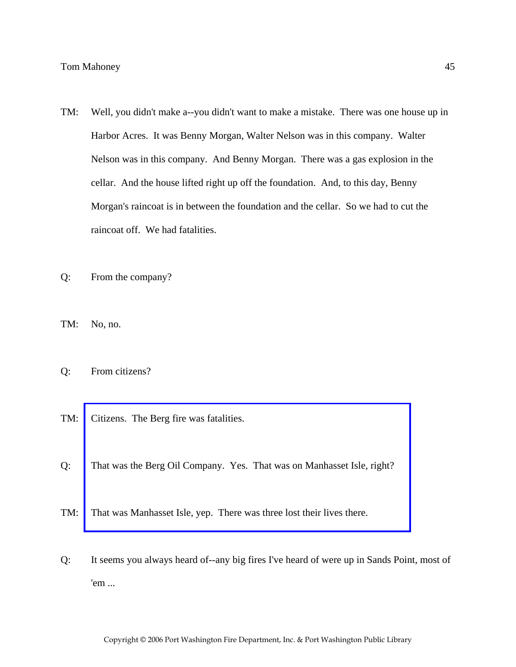- TM: Well, you didn't make a--you didn't want to make a mistake. There was one house up in Harbor Acres. It was Benny Morgan, Walter Nelson was in this company. Walter Nelson was in this company. And Benny Morgan. There was a gas explosion in the cellar. And the house lifted right up off the foundation. And, to this day, Benny Morgan's raincoat is in between the foundation and the cellar. So we had to cut the raincoat off. We had fatalities.
- Q: From the company?
- TM: No, no.
- Q: From citizens?
- TM: Citizens. The Berg fire was fatalities.
- Q: [That was the Berg Oil Company. Yes. That was on Manhasset Isle, right?](http://www.pwfdhistory.com/trans/mahoneyt_trans/news_hewitt_1940-05_web.jpg)
- TM: That was Manhasset Isle, yep. There was three lost their lives there.
- Q: It seems you always heard of--any big fires I've heard of were up in Sands Point, most of 'em ...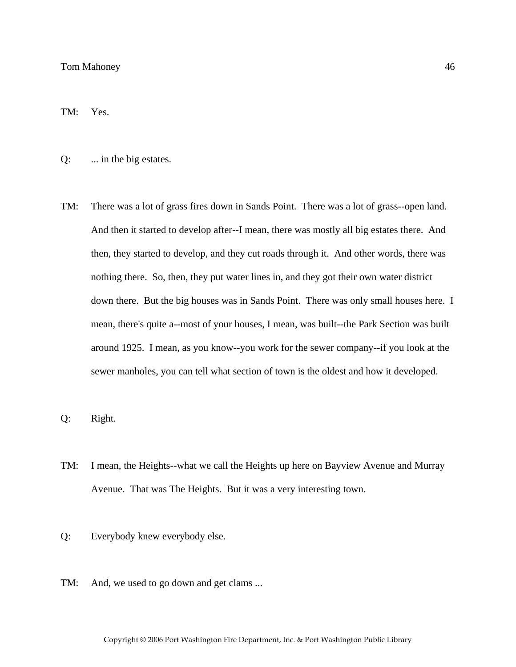TM: Yes.

Q: ... in the big estates.

TM: There was a lot of grass fires down in Sands Point. There was a lot of grass--open land. And then it started to develop after--I mean, there was mostly all big estates there. And then, they started to develop, and they cut roads through it. And other words, there was nothing there. So, then, they put water lines in, and they got their own water district down there. But the big houses was in Sands Point. There was only small houses here. I mean, there's quite a--most of your houses, I mean, was built--the Park Section was built around 1925. I mean, as you know--you work for the sewer company--if you look at the sewer manholes, you can tell what section of town is the oldest and how it developed.

Q: Right.

- TM: I mean, the Heights--what we call the Heights up here on Bayview Avenue and Murray Avenue. That was The Heights. But it was a very interesting town.
- Q: Everybody knew everybody else.
- TM: And, we used to go down and get clams ...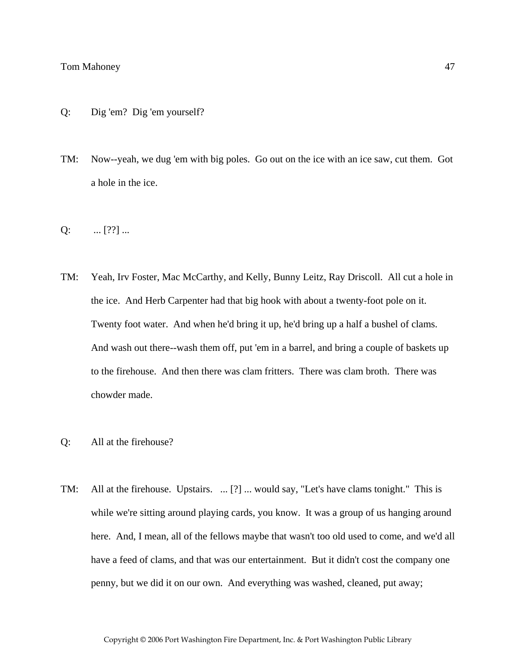- Q: Dig 'em? Dig 'em yourself?
- TM: Now--yeah, we dug 'em with big poles. Go out on the ice with an ice saw, cut them. Got a hole in the ice.
- $Q:$  ... [??] ...
- TM: Yeah, Irv Foster, Mac McCarthy, and Kelly, Bunny Leitz, Ray Driscoll. All cut a hole in the ice. And Herb Carpenter had that big hook with about a twenty-foot pole on it. Twenty foot water. And when he'd bring it up, he'd bring up a half a bushel of clams. And wash out there--wash them off, put 'em in a barrel, and bring a couple of baskets up to the firehouse. And then there was clam fritters. There was clam broth. There was chowder made.
- Q: All at the firehouse?
- TM: All at the firehouse. Upstairs. ... [?] ... would say, "Let's have clams tonight." This is while we're sitting around playing cards, you know. It was a group of us hanging around here. And, I mean, all of the fellows maybe that wasn't too old used to come, and we'd all have a feed of clams, and that was our entertainment. But it didn't cost the company one penny, but we did it on our own. And everything was washed, cleaned, put away;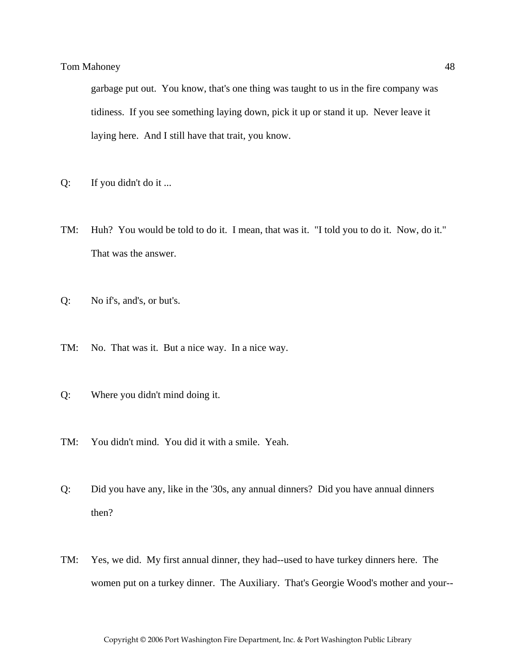garbage put out. You know, that's one thing was taught to us in the fire company was tidiness. If you see something laying down, pick it up or stand it up. Never leave it laying here. And I still have that trait, you know.

- Q: If you didn't do it ...
- TM: Huh? You would be told to do it. I mean, that was it. "I told you to do it. Now, do it." That was the answer.
- Q: No if's, and's, or but's.
- TM: No. That was it. But a nice way. In a nice way.
- Q: Where you didn't mind doing it.
- TM: You didn't mind. You did it with a smile. Yeah.
- Q: Did you have any, like in the '30s, any annual dinners? Did you have annual dinners then?
- TM: Yes, we did. My first annual dinner, they had--used to have turkey dinners here. The women put on a turkey dinner. The Auxiliary. That's Georgie Wood's mother and your--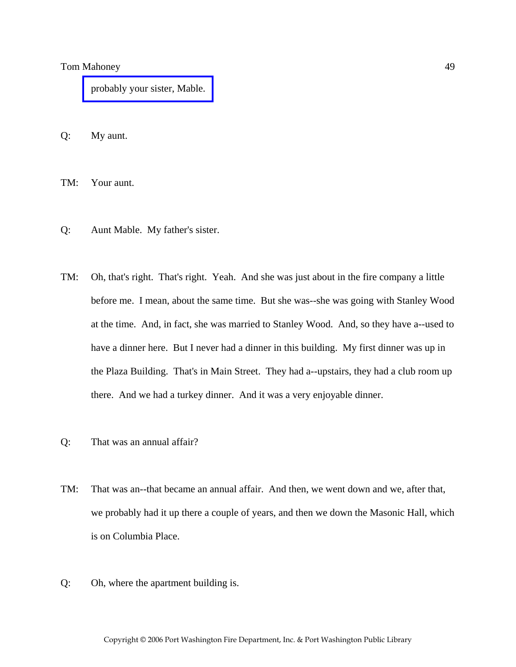[probably your sister, Mable.](http://www.pwfdhistory.com/trans/mahoneyt_trans/peco_parades012_web.jpg) 

Q: My aunt.

TM: Your aunt.

- Q: Aunt Mable. My father's sister.
- TM: Oh, that's right. That's right. Yeah. And she was just about in the fire company a little before me. I mean, about the same time. But she was--she was going with Stanley Wood at the time. And, in fact, she was married to Stanley Wood. And, so they have a--used to have a dinner here. But I never had a dinner in this building. My first dinner was up in the Plaza Building. That's in Main Street. They had a--upstairs, they had a club room up there. And we had a turkey dinner. And it was a very enjoyable dinner.
- Q: That was an annual affair?
- TM: That was an--that became an annual affair. And then, we went down and we, after that, we probably had it up there a couple of years, and then we down the Masonic Hall, which is on Columbia Place.
- Q: Oh, where the apartment building is.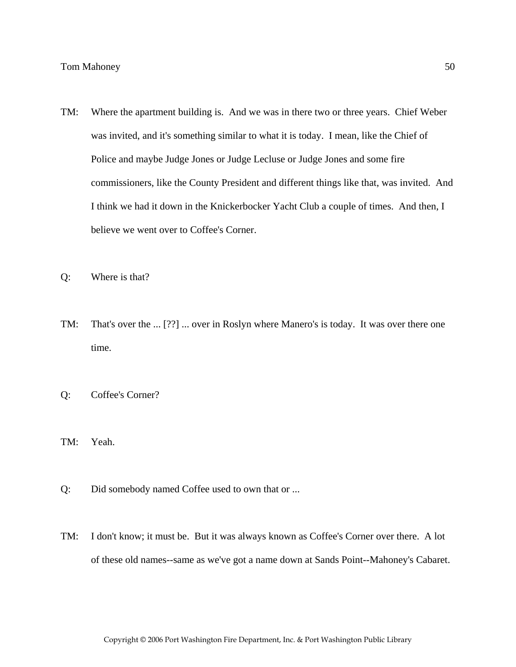- TM: Where the apartment building is. And we was in there two or three years. Chief Weber was invited, and it's something similar to what it is today. I mean, like the Chief of Police and maybe Judge Jones or Judge Lecluse or Judge Jones and some fire commissioners, like the County President and different things like that, was invited. And I think we had it down in the Knickerbocker Yacht Club a couple of times. And then, I believe we went over to Coffee's Corner.
- Q: Where is that?
- TM: That's over the ... [??] ... over in Roslyn where Manero's is today. It was over there one time.
- Q: Coffee's Corner?
- TM: Yeah.
- Q: Did somebody named Coffee used to own that or ...
- TM: I don't know; it must be. But it was always known as Coffee's Corner over there. A lot of these old names--same as we've got a name down at Sands Point--Mahoney's Cabaret.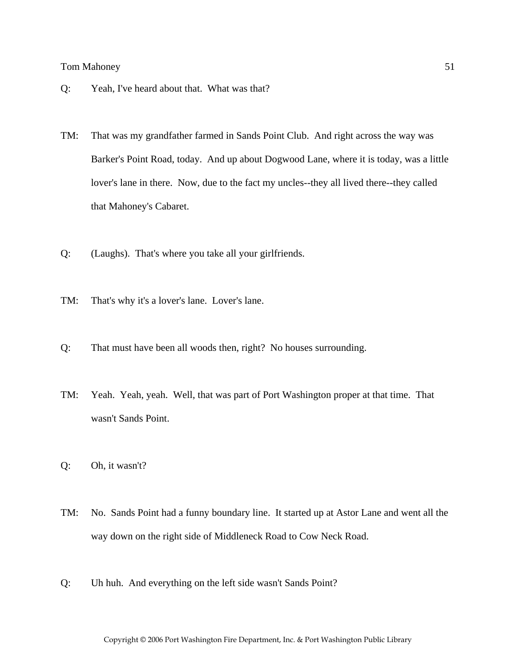- Q: Yeah, I've heard about that. What was that?
- TM: That was my grandfather farmed in Sands Point Club. And right across the way was Barker's Point Road, today. And up about Dogwood Lane, where it is today, was a little lover's lane in there. Now, due to the fact my uncles--they all lived there--they called that Mahoney's Cabaret.
- Q: (Laughs). That's where you take all your girlfriends.
- TM: That's why it's a lover's lane. Lover's lane.
- Q: That must have been all woods then, right? No houses surrounding.
- TM: Yeah. Yeah, yeah. Well, that was part of Port Washington proper at that time. That wasn't Sands Point.
- Q: Oh, it wasn't?
- TM: No. Sands Point had a funny boundary line. It started up at Astor Lane and went all the way down on the right side of Middleneck Road to Cow Neck Road.
- Q: Uh huh. And everything on the left side wasn't Sands Point?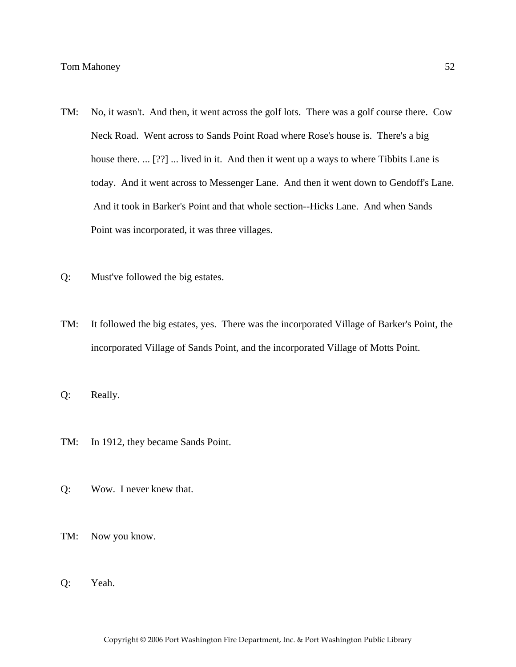- TM: No, it wasn't. And then, it went across the golf lots. There was a golf course there. Cow Neck Road. Went across to Sands Point Road where Rose's house is. There's a big house there. ... [??] ... lived in it. And then it went up a ways to where Tibbits Lane is today. And it went across to Messenger Lane. And then it went down to Gendoff's Lane. And it took in Barker's Point and that whole section--Hicks Lane. And when Sands Point was incorporated, it was three villages.
- Q: Must've followed the big estates.
- TM: It followed the big estates, yes. There was the incorporated Village of Barker's Point, the incorporated Village of Sands Point, and the incorporated Village of Motts Point.
- Q: Really.
- TM: In 1912, they became Sands Point.
- Q: Wow. I never knew that.
- TM: Now you know.
- Q: Yeah.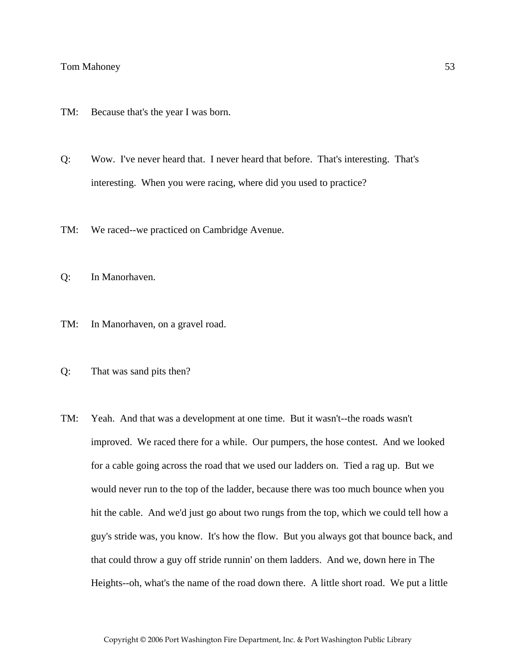- TM: Because that's the year I was born.
- Q: Wow. I've never heard that. I never heard that before. That's interesting. That's interesting. When you were racing, where did you used to practice?
- TM: We raced--we practiced on Cambridge Avenue.
- Q: In Manorhaven.
- TM: In Manorhaven, on a gravel road.
- Q: That was sand pits then?
- TM: Yeah. And that was a development at one time. But it wasn't--the roads wasn't improved. We raced there for a while. Our pumpers, the hose contest. And we looked for a cable going across the road that we used our ladders on. Tied a rag up. But we would never run to the top of the ladder, because there was too much bounce when you hit the cable. And we'd just go about two rungs from the top, which we could tell how a guy's stride was, you know. It's how the flow. But you always got that bounce back, and that could throw a guy off stride runnin' on them ladders. And we, down here in The Heights--oh, what's the name of the road down there. A little short road. We put a little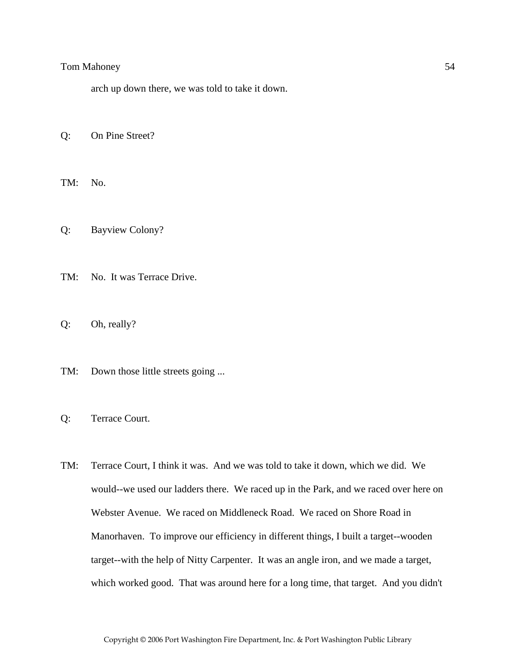arch up down there, we was told to take it down.

Q: On Pine Street?

TM: No.

Q: Bayview Colony?

TM: No. It was Terrace Drive.

Q: Oh, really?

TM: Down those little streets going ...

Q: Terrace Court.

TM: Terrace Court, I think it was. And we was told to take it down, which we did. We would--we used our ladders there. We raced up in the Park, and we raced over here on Webster Avenue. We raced on Middleneck Road. We raced on Shore Road in Manorhaven. To improve our efficiency in different things, I built a target--wooden target--with the help of Nitty Carpenter. It was an angle iron, and we made a target, which worked good. That was around here for a long time, that target. And you didn't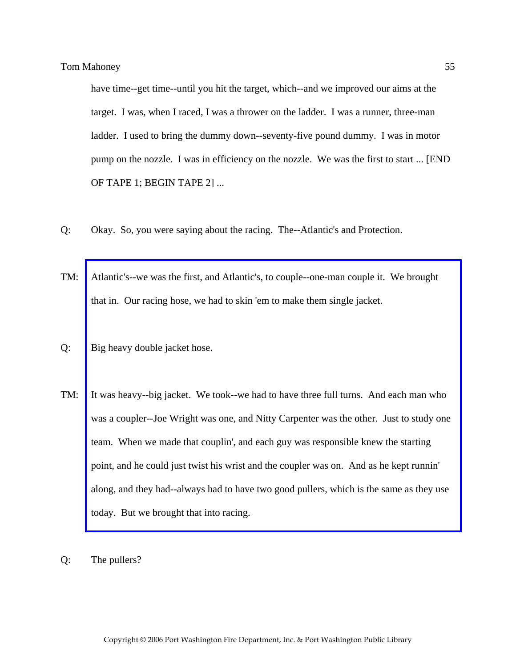have time--get time--until you hit the target, which--and we improved our aims at the target. I was, when I raced, I was a thrower on the ladder. I was a runner, three-man ladder. I used to bring the dummy down--seventy-five pound dummy. I was in motor pump on the nozzle. I was in efficiency on the nozzle. We was the first to start ... [END OF TAPE 1; BEGIN TAPE 2] ...

- Q: Okay. So, you were saying about the racing. The--Atlantic's and Protection.
- TM: Atlantic's--we was the first, and Atlantic's, to couple--one-man couple it. We brought that in. Our racing hose, we had to skin 'em to make them single jacket.
- Q: Big heavy double jacket hose.
- TM: [It was heavy--big jacket. We took--we had to have three full turns. And each man who](http://www.pwfdhistory.com/trans/mahoneyt_trans/fhh_racing006_web.jpg)  was a coupler--Joe Wright was one, and Nitty Carpenter was the other. Just to study one team. When we made that couplin', and each guy was responsible knew the starting point, and he could just twist his wrist and the coupler was on. And as he kept runnin' along, and they had--always had to have two good pullers, which is the same as they use today. But we brought that into racing.
- Q: The pullers?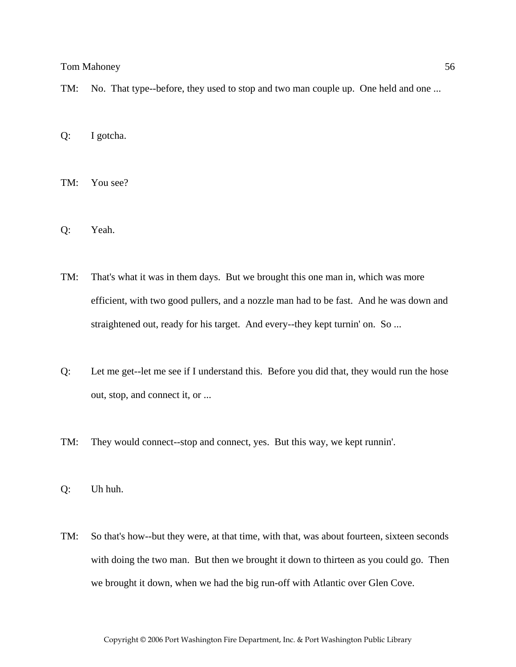- TM: No. That type--before, they used to stop and two man couple up. One held and one ...
- Q: I gotcha.
- TM: You see?
- Q: Yeah.
- TM: That's what it was in them days. But we brought this one man in, which was more efficient, with two good pullers, and a nozzle man had to be fast. And he was down and straightened out, ready for his target. And every--they kept turnin' on. So ...
- Q: Let me get--let me see if I understand this. Before you did that, they would run the hose out, stop, and connect it, or ...
- TM: They would connect--stop and connect, yes. But this way, we kept runnin'.

Q: Uh huh.

TM: So that's how--but they were, at that time, with that, was about fourteen, sixteen seconds with doing the two man. But then we brought it down to thirteen as you could go. Then we brought it down, when we had the big run-off with Atlantic over Glen Cove.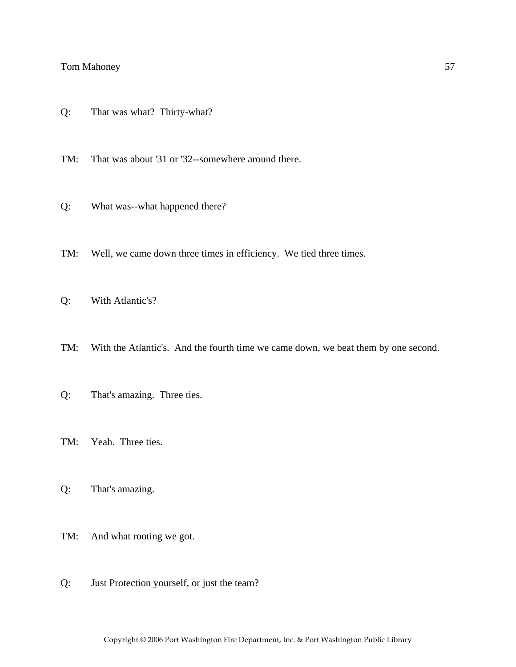Q: That was what? Thirty-what?

TM: That was about '31 or '32--somewhere around there.

- Q: What was--what happened there?
- TM: Well, we came down three times in efficiency. We tied three times.

Q: With Atlantic's?

- TM: With the Atlantic's. And the fourth time we came down, we beat them by one second.
- Q: That's amazing. Three ties.
- TM: Yeah. Three ties.
- Q: That's amazing.
- TM: And what rooting we got.
- Q: Just Protection yourself, or just the team?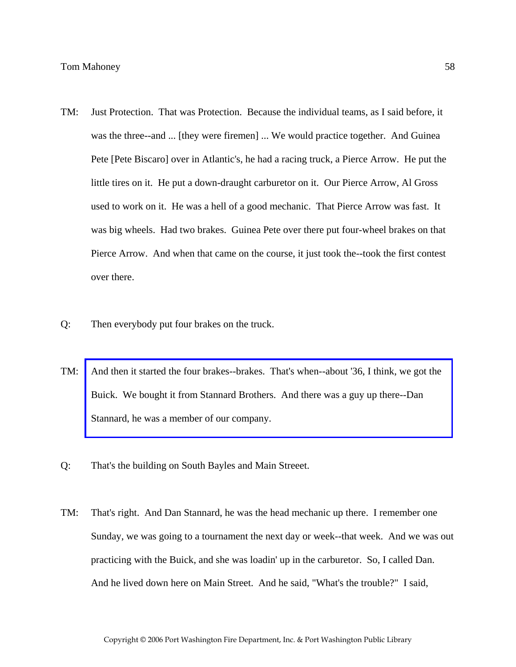- TM: Just Protection. That was Protection. Because the individual teams, as I said before, it was the three--and ... [they were firemen] ... We would practice together. And Guinea Pete [Pete Biscaro] over in Atlantic's, he had a racing truck, a Pierce Arrow. He put the little tires on it. He put a down-draught carburetor on it. Our Pierce Arrow, Al Gross used to work on it. He was a hell of a good mechanic. That Pierce Arrow was fast. It was big wheels. Had two brakes. Guinea Pete over there put four-wheel brakes on that Pierce Arrow. And when that came on the course, it just took the--took the first contest over there.
- Q: Then everybody put four brakes on the truck.
- TM: [And then it started the four brakes--brakes. That's when--about '36, I think, we got the](http://www.pwfdhistory.com/trans/mahoneyt_trans/peco_racing05.jpg)  Buick. We bought it from Stannard Brothers. And there was a guy up there--Dan Stannard, he was a member of our company.
- Q: That's the building on South Bayles and Main Streeet.
- TM: That's right. And Dan Stannard, he was the head mechanic up there. I remember one Sunday, we was going to a tournament the next day or week--that week. And we was out practicing with the Buick, and she was loadin' up in the carburetor. So, I called Dan. And he lived down here on Main Street. And he said, "What's the trouble?" I said,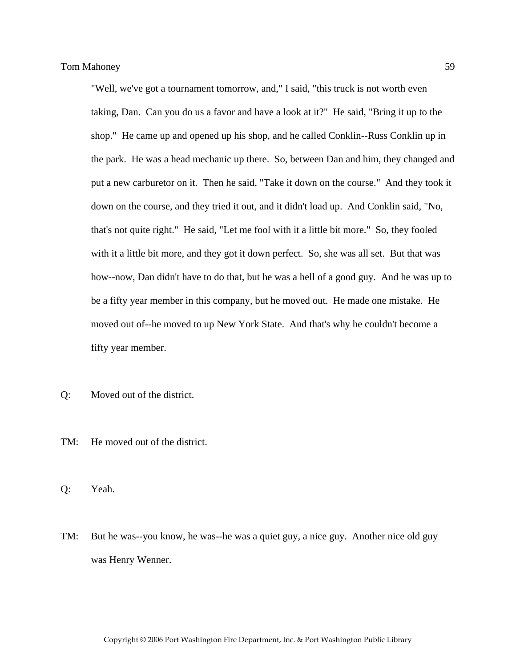"Well, we've got a tournament tomorrow, and," I said, "this truck is not worth even taking, Dan. Can you do us a favor and have a look at it?" He said, "Bring it up to the shop." He came up and opened up his shop, and he called Conklin--Russ Conklin up in the park. He was a head mechanic up there. So, between Dan and him, they changed and put a new carburetor on it. Then he said, "Take it down on the course." And they took it down on the course, and they tried it out, and it didn't load up. And Conklin said, "No, that's not quite right." He said, "Let me fool with it a little bit more." So, they fooled with it a little bit more, and they got it down perfect. So, she was all set. But that was how--now, Dan didn't have to do that, but he was a hell of a good guy. And he was up to be a fifty year member in this company, but he moved out. He made one mistake. He moved out of--he moved to up New York State. And that's why he couldn't become a fifty year member.

- Q: Moved out of the district.
- TM: He moved out of the district.
- Q: Yeah.
- TM: But he was--you know, he was--he was a quiet guy, a nice guy. Another nice old guy was Henry Wenner.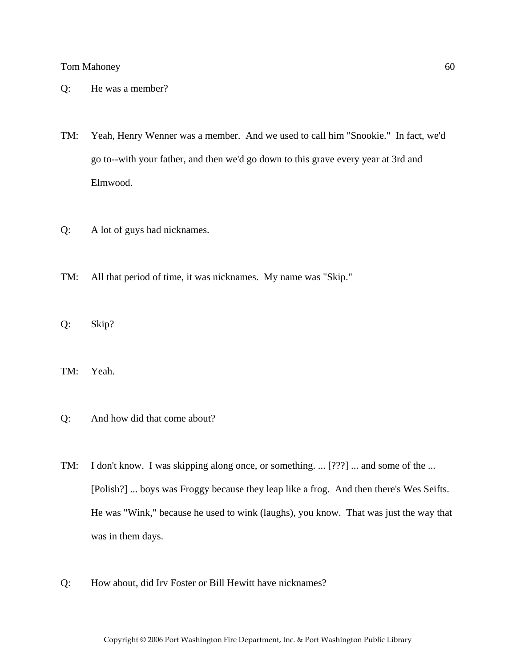- Q: He was a member?
- TM: Yeah, Henry Wenner was a member. And we used to call him "Snookie." In fact, we'd go to--with your father, and then we'd go down to this grave every year at 3rd and Elmwood.
- Q: A lot of guys had nicknames.
- TM: All that period of time, it was nicknames. My name was "Skip."
- Q: Skip?
- TM: Yeah.
- Q: And how did that come about?
- TM: I don't know. I was skipping along once, or something. ... [???] ... and some of the ... [Polish?] ... boys was Froggy because they leap like a frog. And then there's Wes Seifts. He was "Wink," because he used to wink (laughs), you know. That was just the way that was in them days.
- Q: How about, did Irv Foster or Bill Hewitt have nicknames?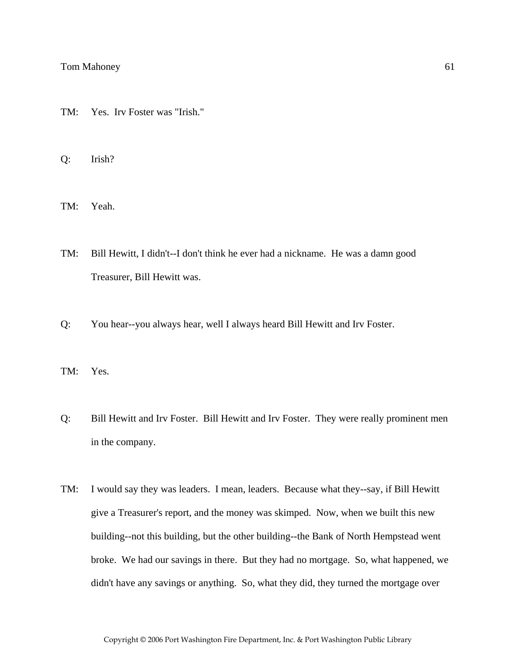TM: Yes. Irv Foster was "Irish."

Q: Irish?

TM: Yeah.

- TM: Bill Hewitt, I didn't--I don't think he ever had a nickname. He was a damn good Treasurer, Bill Hewitt was.
- Q: You hear--you always hear, well I always heard Bill Hewitt and Irv Foster.

TM: Yes.

- Q: Bill Hewitt and Irv Foster. Bill Hewitt and Irv Foster. They were really prominent men in the company.
- TM: I would say they was leaders. I mean, leaders. Because what they--say, if Bill Hewitt give a Treasurer's report, and the money was skimped. Now, when we built this new building--not this building, but the other building--the Bank of North Hempstead went broke. We had our savings in there. But they had no mortgage. So, what happened, we didn't have any savings or anything. So, what they did, they turned the mortgage over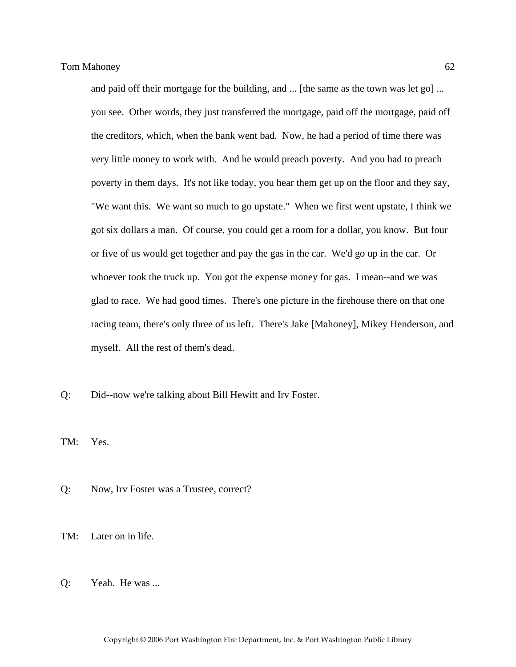and paid off their mortgage for the building, and ... [the same as the town was let go] ... you see. Other words, they just transferred the mortgage, paid off the mortgage, paid off the creditors, which, when the bank went bad. Now, he had a period of time there was very little money to work with. And he would preach poverty. And you had to preach poverty in them days. It's not like today, you hear them get up on the floor and they say, "We want this. We want so much to go upstate." When we first went upstate, I think we got six dollars a man. Of course, you could get a room for a dollar, you know. But four or five of us would get together and pay the gas in the car. We'd go up in the car. Or whoever took the truck up. You got the expense money for gas. I mean--and we was glad to race. We had good times. There's one picture in the firehouse there on that one racing team, there's only three of us left. There's Jake [Mahoney], Mikey Henderson, and myself. All the rest of them's dead.

Q: Did--now we're talking about Bill Hewitt and Irv Foster.

TM: Yes.

- Q: Now, Irv Foster was a Trustee, correct?
- TM: Later on in life.
- Q: Yeah. He was ...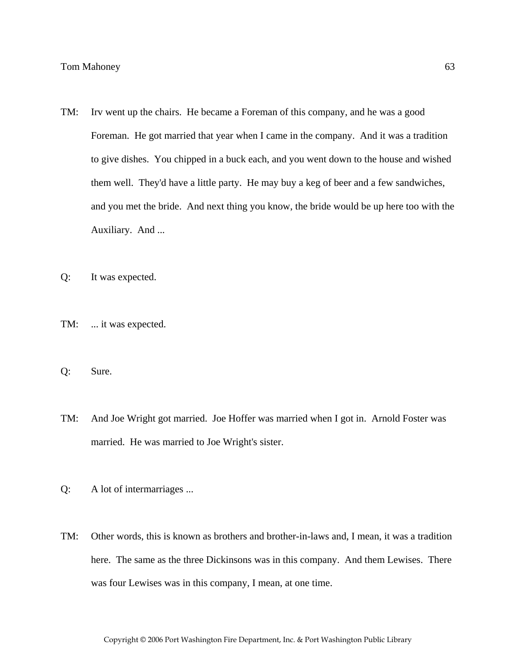- TM: Irv went up the chairs. He became a Foreman of this company, and he was a good Foreman. He got married that year when I came in the company. And it was a tradition to give dishes. You chipped in a buck each, and you went down to the house and wished them well. They'd have a little party. He may buy a keg of beer and a few sandwiches, and you met the bride. And next thing you know, the bride would be up here too with the Auxiliary. And ...
- Q: It was expected.
- TM: ... it was expected.
- Q: Sure.
- TM: And Joe Wright got married. Joe Hoffer was married when I got in. Arnold Foster was married. He was married to Joe Wright's sister.
- Q: A lot of intermarriages ...
- TM: Other words, this is known as brothers and brother-in-laws and, I mean, it was a tradition here. The same as the three Dickinsons was in this company. And them Lewises. There was four Lewises was in this company, I mean, at one time.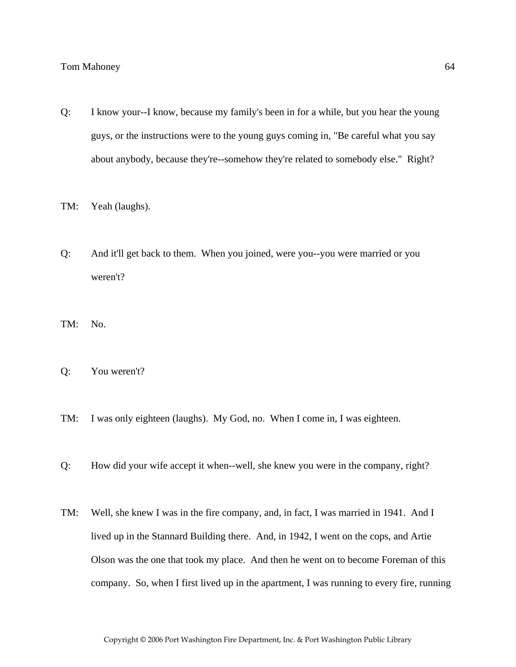- Q: I know your--I know, because my family's been in for a while, but you hear the young guys, or the instructions were to the young guys coming in, "Be careful what you say about anybody, because they're--somehow they're related to somebody else." Right?
- TM: Yeah (laughs).
- Q: And it'll get back to them. When you joined, were you--you were married or you weren't?
- TM: No.
- Q: You weren't?
- TM: I was only eighteen (laughs). My God, no. When I come in, I was eighteen.
- Q: How did your wife accept it when--well, she knew you were in the company, right?
- TM: Well, she knew I was in the fire company, and, in fact, I was married in 1941. And I lived up in the Stannard Building there. And, in 1942, I went on the cops, and Artie Olson was the one that took my place. And then he went on to become Foreman of this company. So, when I first lived up in the apartment, I was running to every fire, running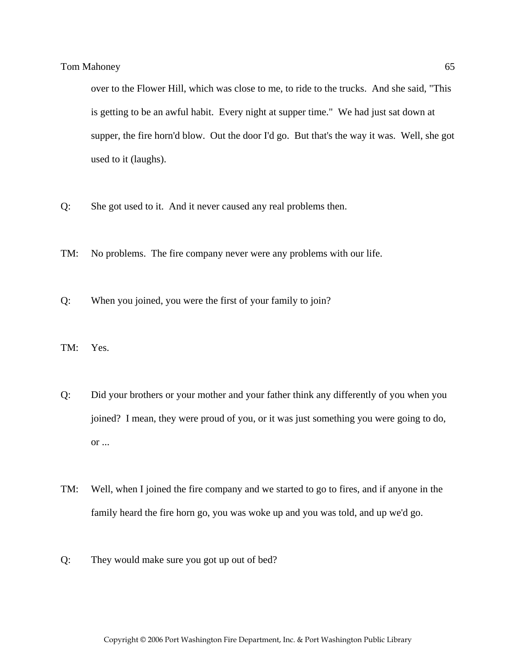over to the Flower Hill, which was close to me, to ride to the trucks. And she said, "This is getting to be an awful habit. Every night at supper time." We had just sat down at supper, the fire horn'd blow. Out the door I'd go. But that's the way it was. Well, she got used to it (laughs).

- Q: She got used to it. And it never caused any real problems then.
- TM: No problems. The fire company never were any problems with our life.
- Q: When you joined, you were the first of your family to join?
- TM: Yes.
- Q: Did your brothers or your mother and your father think any differently of you when you joined? I mean, they were proud of you, or it was just something you were going to do, or ...
- TM: Well, when I joined the fire company and we started to go to fires, and if anyone in the family heard the fire horn go, you was woke up and you was told, and up we'd go.
- Q: They would make sure you got up out of bed?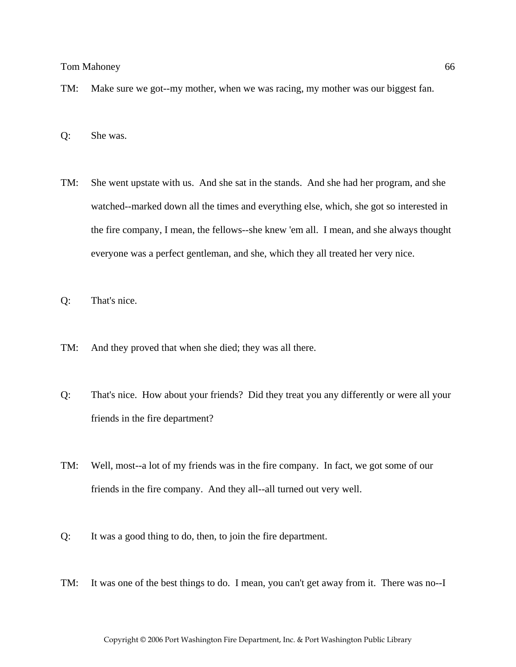- TM: Make sure we got--my mother, when we was racing, my mother was our biggest fan.
- Q: She was.
- TM: She went upstate with us. And she sat in the stands. And she had her program, and she watched--marked down all the times and everything else, which, she got so interested in the fire company, I mean, the fellows--she knew 'em all. I mean, and she always thought everyone was a perfect gentleman, and she, which they all treated her very nice.
- Q: That's nice.
- TM: And they proved that when she died; they was all there.
- Q: That's nice. How about your friends? Did they treat you any differently or were all your friends in the fire department?
- TM: Well, most--a lot of my friends was in the fire company. In fact, we got some of our friends in the fire company. And they all--all turned out very well.
- Q: It was a good thing to do, then, to join the fire department.
- TM: It was one of the best things to do. I mean, you can't get away from it. There was no--I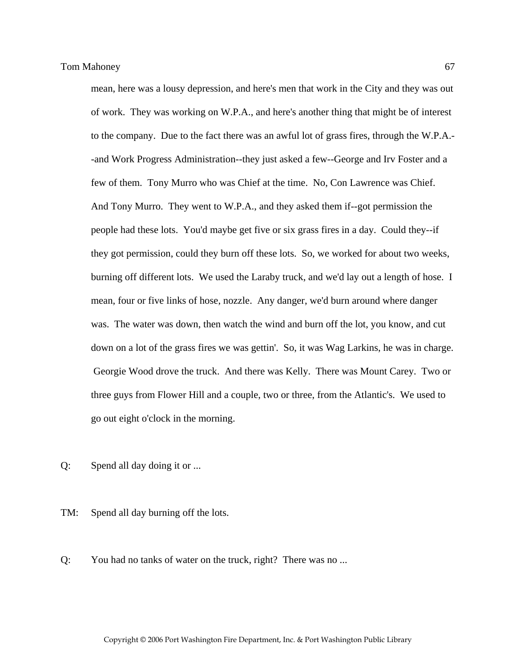mean, here was a lousy depression, and here's men that work in the City and they was out of work. They was working on W.P.A., and here's another thing that might be of interest to the company. Due to the fact there was an awful lot of grass fires, through the W.P.A.- -and Work Progress Administration--they just asked a few--George and Irv Foster and a few of them. Tony Murro who was Chief at the time. No, Con Lawrence was Chief. And Tony Murro. They went to W.P.A., and they asked them if--got permission the people had these lots. You'd maybe get five or six grass fires in a day. Could they--if they got permission, could they burn off these lots. So, we worked for about two weeks, burning off different lots. We used the Laraby truck, and we'd lay out a length of hose. I mean, four or five links of hose, nozzle. Any danger, we'd burn around where danger was. The water was down, then watch the wind and burn off the lot, you know, and cut down on a lot of the grass fires we was gettin'. So, it was Wag Larkins, he was in charge. Georgie Wood drove the truck. And there was Kelly. There was Mount Carey. Two or three guys from Flower Hill and a couple, two or three, from the Atlantic's. We used to go out eight o'clock in the morning.

Q: Spend all day doing it or ...

TM: Spend all day burning off the lots.

Q: You had no tanks of water on the truck, right? There was no ...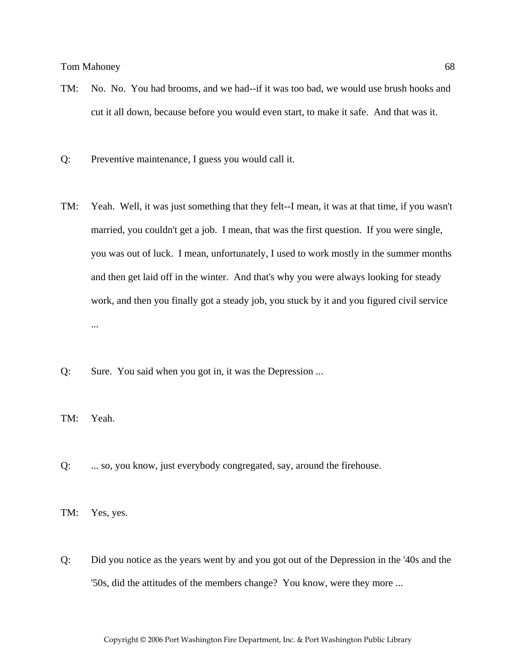- TM: No. No. You had brooms, and we had--if it was too bad, we would use brush hooks and cut it all down, because before you would even start, to make it safe. And that was it.
- Q: Preventive maintenance, I guess you would call it.
- TM: Yeah. Well, it was just something that they felt--I mean, it was at that time, if you wasn't married, you couldn't get a job. I mean, that was the first question. If you were single, you was out of luck. I mean, unfortunately, I used to work mostly in the summer months and then get laid off in the winter. And that's why you were always looking for steady work, and then you finally got a steady job, you stuck by it and you figured civil service ...
- Q: Sure. You said when you got in, it was the Depression ...
- TM: Yeah.
- Q: ... so, you know, just everybody congregated, say, around the firehouse.

TM: Yes, yes.

Q: Did you notice as the years went by and you got out of the Depression in the '40s and the '50s, did the attitudes of the members change? You know, were they more ...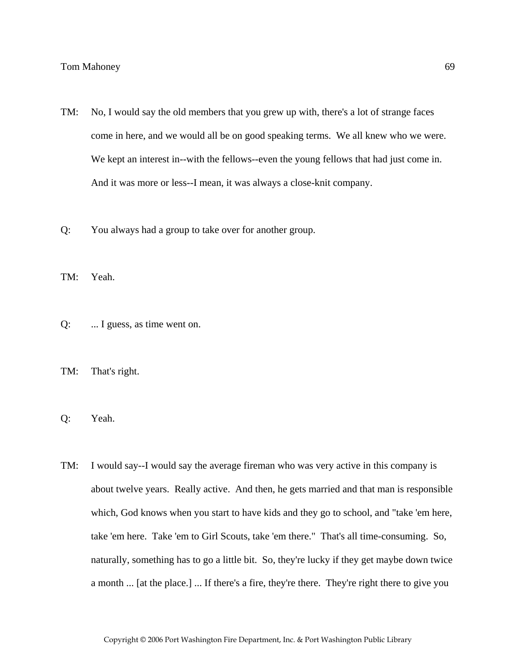- TM: No, I would say the old members that you grew up with, there's a lot of strange faces come in here, and we would all be on good speaking terms. We all knew who we were. We kept an interest in--with the fellows--even the young fellows that had just come in. And it was more or less--I mean, it was always a close-knit company.
- Q: You always had a group to take over for another group.
- TM: Yeah.
- Q: ... I guess, as time went on.
- TM: That's right.
- Q: Yeah.
- TM: I would say--I would say the average fireman who was very active in this company is about twelve years. Really active. And then, he gets married and that man is responsible which, God knows when you start to have kids and they go to school, and "take 'em here, take 'em here. Take 'em to Girl Scouts, take 'em there." That's all time-consuming. So, naturally, something has to go a little bit. So, they're lucky if they get maybe down twice a month ... [at the place.] ... If there's a fire, they're there. They're right there to give you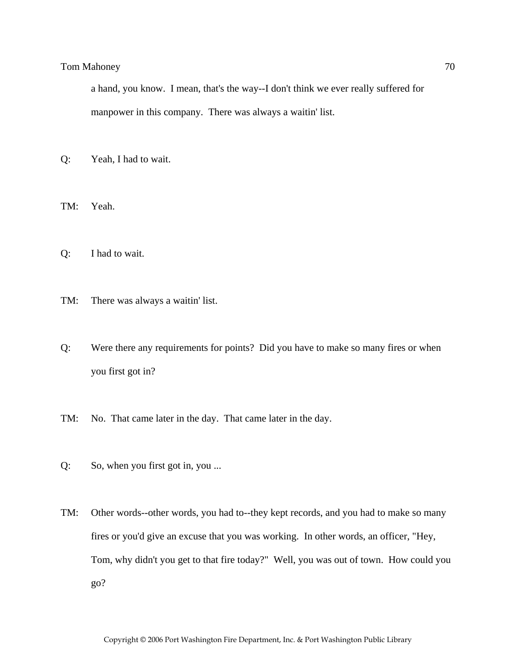a hand, you know. I mean, that's the way--I don't think we ever really suffered for manpower in this company. There was always a waitin' list.

Q: Yeah, I had to wait.

TM: Yeah.

- Q: I had to wait.
- TM: There was always a waitin' list.
- Q: Were there any requirements for points? Did you have to make so many fires or when you first got in?
- TM: No. That came later in the day. That came later in the day.
- Q: So, when you first got in, you ...
- TM: Other words--other words, you had to--they kept records, and you had to make so many fires or you'd give an excuse that you was working. In other words, an officer, "Hey, Tom, why didn't you get to that fire today?" Well, you was out of town. How could you go?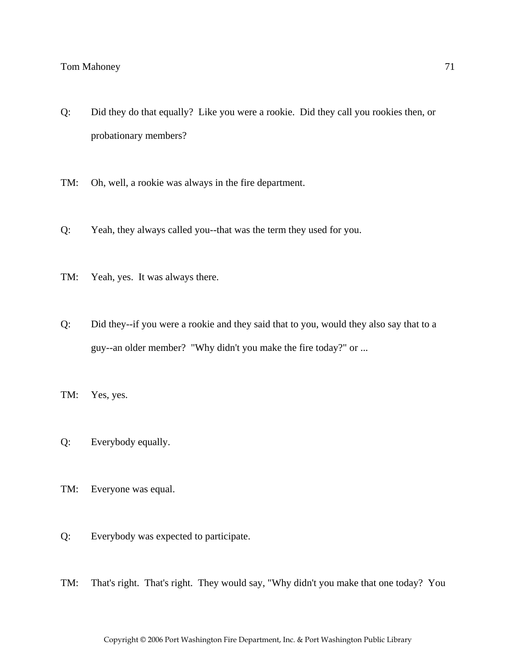- Q: Did they do that equally? Like you were a rookie. Did they call you rookies then, or probationary members?
- TM: Oh, well, a rookie was always in the fire department.
- Q: Yeah, they always called you--that was the term they used for you.
- TM: Yeah, yes. It was always there.
- Q: Did they--if you were a rookie and they said that to you, would they also say that to a guy--an older member? "Why didn't you make the fire today?" or ...
- TM: Yes, yes.
- Q: Everybody equally.
- TM: Everyone was equal.
- Q: Everybody was expected to participate.
- TM: That's right. That's right. They would say, "Why didn't you make that one today? You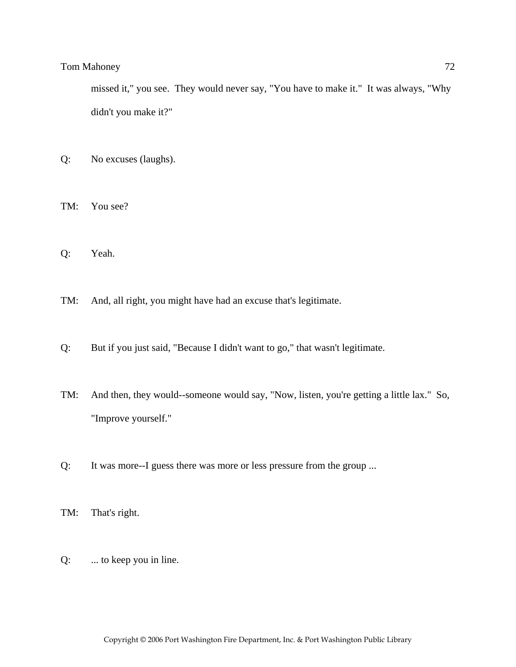missed it," you see. They would never say, "You have to make it." It was always, "Why didn't you make it?"

Q: No excuses (laughs).

TM: You see?

- Q: Yeah.
- TM: And, all right, you might have had an excuse that's legitimate.
- Q: But if you just said, "Because I didn't want to go," that wasn't legitimate.
- TM: And then, they would--someone would say, "Now, listen, you're getting a little lax." So, "Improve yourself."
- Q: It was more--I guess there was more or less pressure from the group ...
- TM: That's right.
- Q: ... to keep you in line.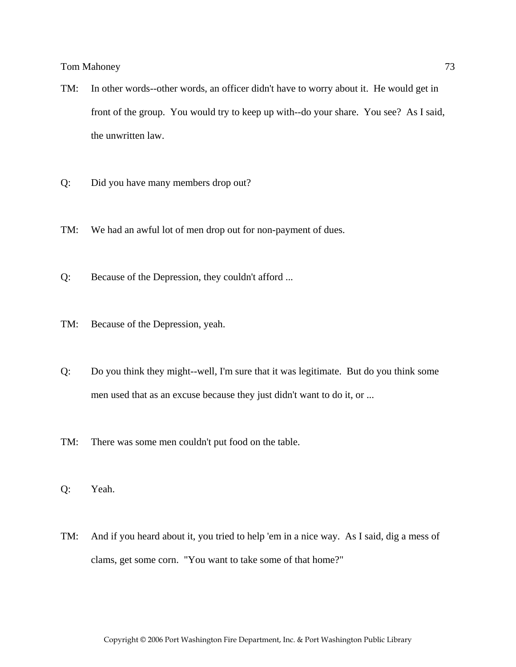- TM: In other words--other words, an officer didn't have to worry about it. He would get in front of the group. You would try to keep up with--do your share. You see? As I said, the unwritten law.
- Q: Did you have many members drop out?
- TM: We had an awful lot of men drop out for non-payment of dues.
- Q: Because of the Depression, they couldn't afford ...
- TM: Because of the Depression, yeah.
- Q: Do you think they might--well, I'm sure that it was legitimate. But do you think some men used that as an excuse because they just didn't want to do it, or ...
- TM: There was some men couldn't put food on the table.
- Q: Yeah.
- TM: And if you heard about it, you tried to help 'em in a nice way. As I said, dig a mess of clams, get some corn. "You want to take some of that home?"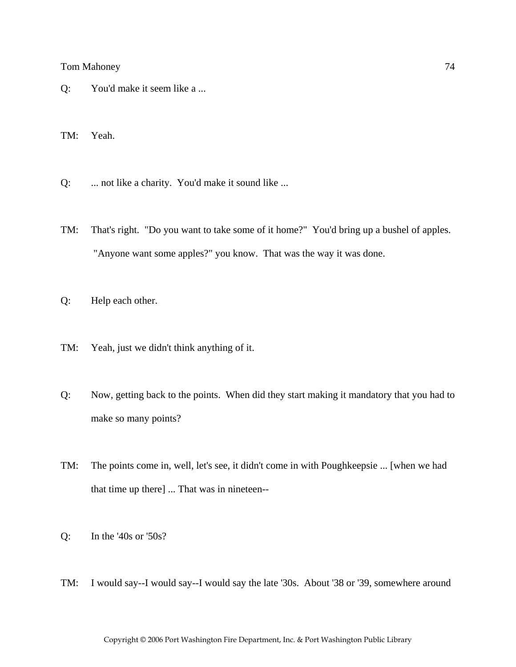# Tom Mahoney 22 and 22 and 23 and 24 and 25 and 26 and 26 and 26 and 26 and 274 and 274 and 274 and 274 and 274 and 274 and 274 and 275 and 276 and 276 and 276 and 276 and 276 and 276 and 276 and 276 and 276 and 276 and 276

Q: You'd make it seem like a ...

TM: Yeah.

- Q: ... not like a charity. You'd make it sound like ...
- TM: That's right. "Do you want to take some of it home?" You'd bring up a bushel of apples. "Anyone want some apples?" you know. That was the way it was done.
- Q: Help each other.
- TM: Yeah, just we didn't think anything of it.
- Q: Now, getting back to the points. When did they start making it mandatory that you had to make so many points?
- TM: The points come in, well, let's see, it didn't come in with Poughkeepsie ... [when we had that time up there] ... That was in nineteen--
- Q: In the '40s or '50s?
- TM: I would say--I would say--I would say the late '30s. About '38 or '39, somewhere around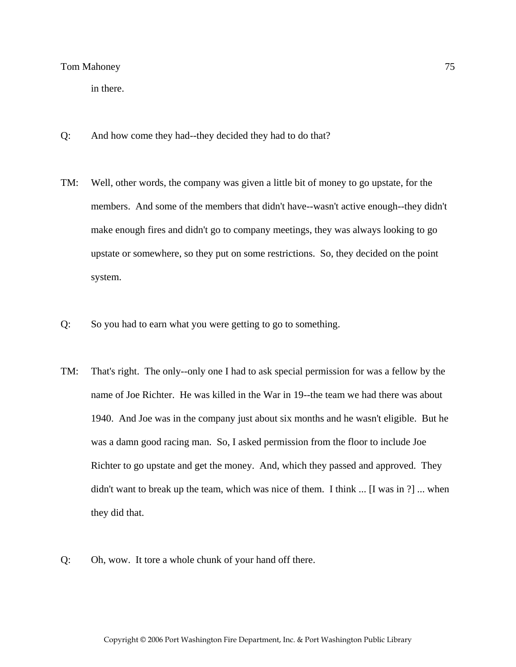in there.

- Q: And how come they had--they decided they had to do that?
- TM: Well, other words, the company was given a little bit of money to go upstate, for the members. And some of the members that didn't have--wasn't active enough--they didn't make enough fires and didn't go to company meetings, they was always looking to go upstate or somewhere, so they put on some restrictions. So, they decided on the point system.
- Q: So you had to earn what you were getting to go to something.
- TM: That's right. The only--only one I had to ask special permission for was a fellow by the name of Joe Richter. He was killed in the War in 19--the team we had there was about 1940. And Joe was in the company just about six months and he wasn't eligible. But he was a damn good racing man. So, I asked permission from the floor to include Joe Richter to go upstate and get the money. And, which they passed and approved. They didn't want to break up the team, which was nice of them. I think ... [I was in ?] ... when they did that.
- Q: Oh, wow. It tore a whole chunk of your hand off there.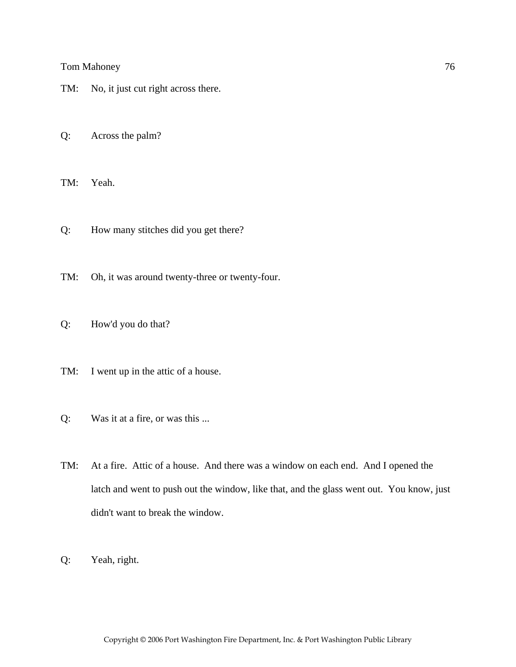- TM: No, it just cut right across there.
- Q: Across the palm?

TM: Yeah.

- Q: How many stitches did you get there?
- TM: Oh, it was around twenty-three or twenty-four.
- Q: How'd you do that?
- TM: I went up in the attic of a house.
- Q: Was it at a fire, or was this ...
- TM: At a fire. Attic of a house. And there was a window on each end. And I opened the latch and went to push out the window, like that, and the glass went out. You know, just didn't want to break the window.
- Q: Yeah, right.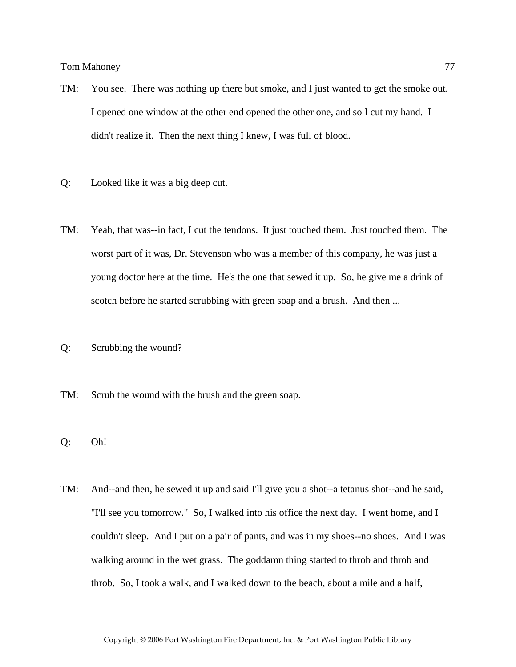- TM: You see. There was nothing up there but smoke, and I just wanted to get the smoke out. I opened one window at the other end opened the other one, and so I cut my hand. I didn't realize it. Then the next thing I knew, I was full of blood.
- Q: Looked like it was a big deep cut.
- TM: Yeah, that was--in fact, I cut the tendons. It just touched them. Just touched them. The worst part of it was, Dr. Stevenson who was a member of this company, he was just a young doctor here at the time. He's the one that sewed it up. So, he give me a drink of scotch before he started scrubbing with green soap and a brush. And then ...
- Q: Scrubbing the wound?
- TM: Scrub the wound with the brush and the green soap.
- Q: Oh!
- TM: And--and then, he sewed it up and said I'll give you a shot--a tetanus shot--and he said, "I'll see you tomorrow." So, I walked into his office the next day. I went home, and I couldn't sleep. And I put on a pair of pants, and was in my shoes--no shoes. And I was walking around in the wet grass. The goddamn thing started to throb and throb and throb. So, I took a walk, and I walked down to the beach, about a mile and a half,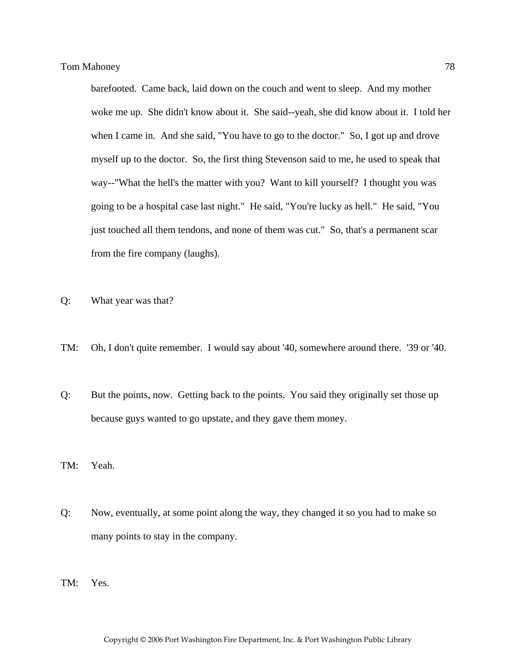barefooted. Came back, laid down on the couch and went to sleep. And my mother woke me up. She didn't know about it. She said--yeah, she did know about it. I told her when I came in. And she said, "You have to go to the doctor." So, I got up and drove myself up to the doctor. So, the first thing Stevenson said to me, he used to speak that way--"What the hell's the matter with you? Want to kill yourself? I thought you was going to be a hospital case last night." He said, "You're lucky as hell." He said, "You just touched all them tendons, and none of them was cut." So, that's a permanent scar from the fire company (laughs).

- Q: What year was that?
- TM: Oh, I don't quite remember. I would say about '40, somewhere around there. '39 or '40.
- Q: But the points, now. Getting back to the points. You said they originally set those up because guys wanted to go upstate, and they gave them money.
- TM: Yeah.
- Q: Now, eventually, at some point along the way, they changed it so you had to make so many points to stay in the company.
- TM: Yes.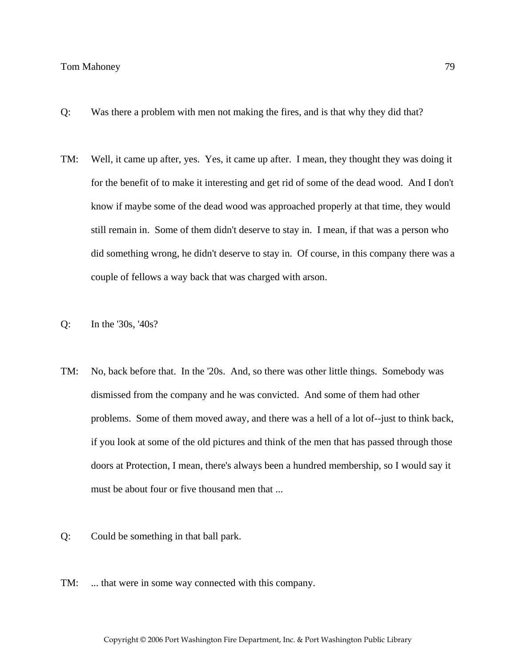### Tom Mahoney 2008 79

- Q: Was there a problem with men not making the fires, and is that why they did that?
- TM: Well, it came up after, yes. Yes, it came up after. I mean, they thought they was doing it for the benefit of to make it interesting and get rid of some of the dead wood. And I don't know if maybe some of the dead wood was approached properly at that time, they would still remain in. Some of them didn't deserve to stay in. I mean, if that was a person who did something wrong, he didn't deserve to stay in. Of course, in this company there was a couple of fellows a way back that was charged with arson.
- Q: In the '30s, '40s?
- TM: No, back before that. In the '20s. And, so there was other little things. Somebody was dismissed from the company and he was convicted. And some of them had other problems. Some of them moved away, and there was a hell of a lot of--just to think back, if you look at some of the old pictures and think of the men that has passed through those doors at Protection, I mean, there's always been a hundred membership, so I would say it must be about four or five thousand men that ...
- Q: Could be something in that ball park.
- TM: ... that were in some way connected with this company.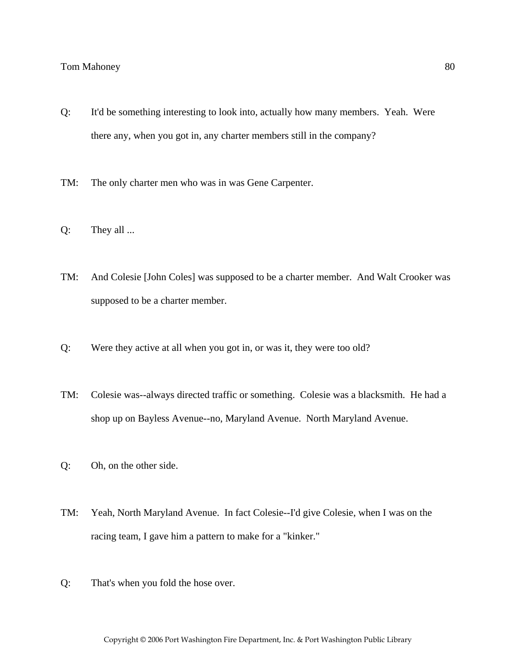- Q: It'd be something interesting to look into, actually how many members. Yeah. Were there any, when you got in, any charter members still in the company?
- TM: The only charter men who was in was Gene Carpenter.
- Q: They all ...
- TM: And Colesie [John Coles] was supposed to be a charter member. And Walt Crooker was supposed to be a charter member.
- Q: Were they active at all when you got in, or was it, they were too old?
- TM: Colesie was--always directed traffic or something. Colesie was a blacksmith. He had a shop up on Bayless Avenue--no, Maryland Avenue. North Maryland Avenue.
- Q: Oh, on the other side.
- TM: Yeah, North Maryland Avenue. In fact Colesie--I'd give Colesie, when I was on the racing team, I gave him a pattern to make for a "kinker."
- Q: That's when you fold the hose over.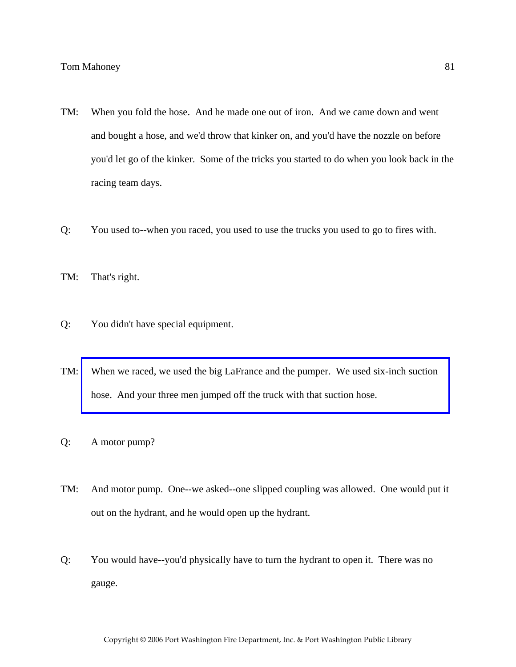- TM: When you fold the hose. And he made one out of iron. And we came down and went and bought a hose, and we'd throw that kinker on, and you'd have the nozzle on before you'd let go of the kinker. Some of the tricks you started to do when you look back in the racing team days.
- Q: You used to--when you raced, you used to use the trucks you used to go to fires with.
- TM: That's right.
- Q: You didn't have special equipment.
- TM: [When we raced, we used the big LaFrance and the pumper. We used six-inch suction](http://www.pwfdhistory.com/trans/mahoneyt_trans/peco_racing07.jpg)  hose. And your three men jumped off the truck with that suction hose.
- Q: A motor pump?
- TM: And motor pump. One--we asked--one slipped coupling was allowed. One would put it out on the hydrant, and he would open up the hydrant.
- Q: You would have--you'd physically have to turn the hydrant to open it. There was no gauge.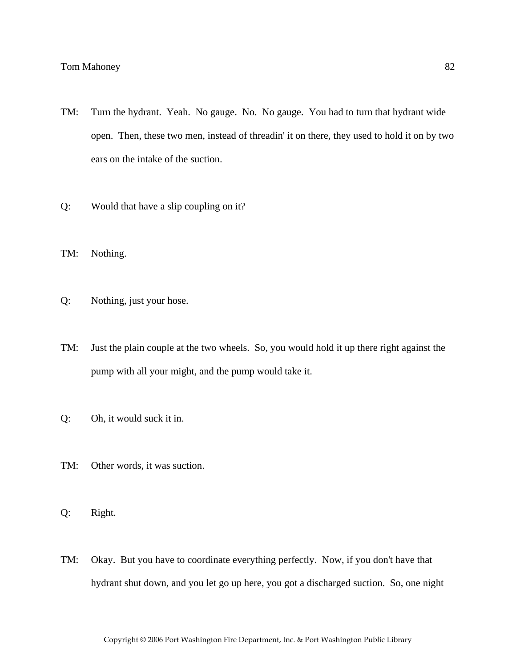- TM: Turn the hydrant. Yeah. No gauge. No. No gauge. You had to turn that hydrant wide open. Then, these two men, instead of threadin' it on there, they used to hold it on by two ears on the intake of the suction.
- Q: Would that have a slip coupling on it?
- TM: Nothing.
- Q: Nothing, just your hose.
- TM: Just the plain couple at the two wheels. So, you would hold it up there right against the pump with all your might, and the pump would take it.
- Q: Oh, it would suck it in.
- TM: Other words, it was suction.
- Q: Right.
- TM: Okay. But you have to coordinate everything perfectly. Now, if you don't have that hydrant shut down, and you let go up here, you got a discharged suction. So, one night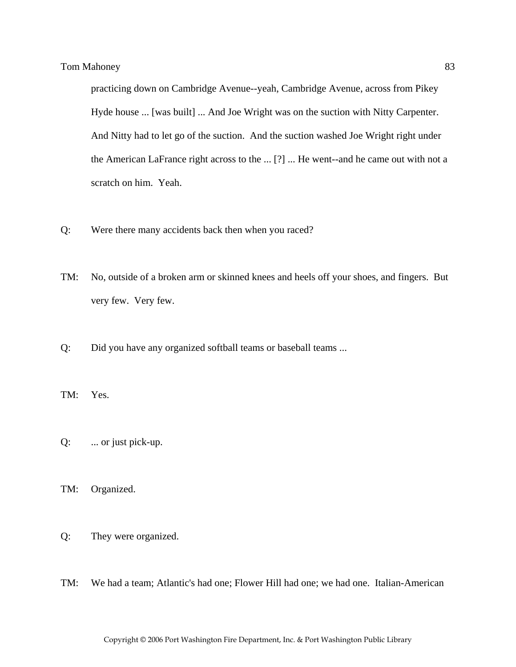practicing down on Cambridge Avenue--yeah, Cambridge Avenue, across from Pikey Hyde house ... [was built] ... And Joe Wright was on the suction with Nitty Carpenter. And Nitty had to let go of the suction. And the suction washed Joe Wright right under the American LaFrance right across to the ... [?] ... He went--and he came out with not a scratch on him. Yeah.

- Q: Were there many accidents back then when you raced?
- TM: No, outside of a broken arm or skinned knees and heels off your shoes, and fingers. But very few. Very few.
- Q: Did you have any organized softball teams or baseball teams ...
- TM: Yes.
- Q: ... or just pick-up.
- TM: Organized.
- Q: They were organized.
- TM: We had a team; Atlantic's had one; Flower Hill had one; we had one. Italian-American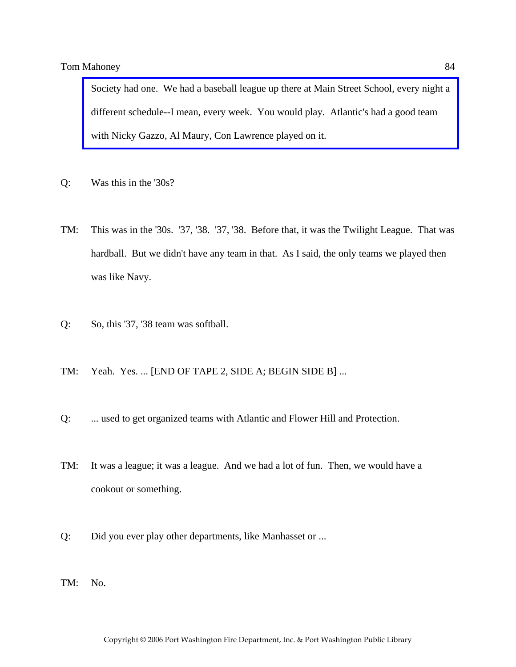[Society had one. We had a baseball league up there at Main Street School, every night a](http://www.pwfdhistory.com/trans/mahoneyt_trans/pwfd_softball008_web.pdf)  different schedule--I mean, every week. You would play. Atlantic's had a good team with Nicky Gazzo, Al Maury, Con Lawrence played on it.

- Q: Was this in the '30s?
- TM: This was in the '30s. '37, '38. '37, '38. Before that, it was the Twilight League. That was hardball. But we didn't have any team in that. As I said, the only teams we played then was like Navy.
- Q: So, this '37, '38 team was softball.
- TM: Yeah. Yes. ... [END OF TAPE 2, SIDE A; BEGIN SIDE B] ...
- Q: ... used to get organized teams with Atlantic and Flower Hill and Protection.
- TM: It was a league; it was a league. And we had a lot of fun. Then, we would have a cookout or something.
- Q: Did you ever play other departments, like Manhasset or ...
- TM: No.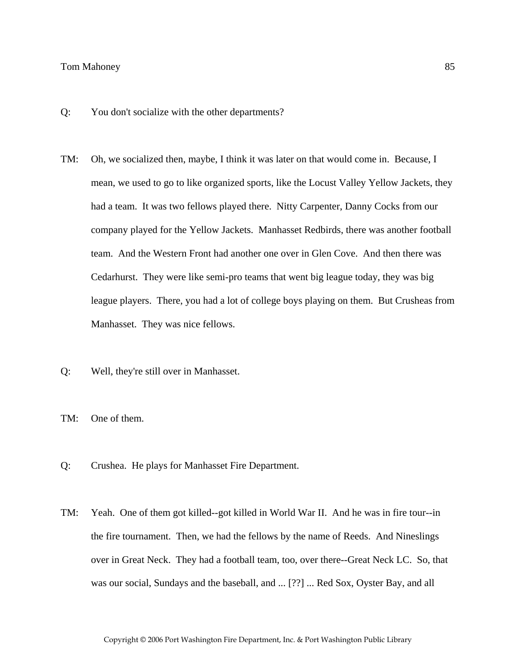- Q: You don't socialize with the other departments?
- TM: Oh, we socialized then, maybe, I think it was later on that would come in. Because, I mean, we used to go to like organized sports, like the Locust Valley Yellow Jackets, they had a team. It was two fellows played there. Nitty Carpenter, Danny Cocks from our company played for the Yellow Jackets. Manhasset Redbirds, there was another football team. And the Western Front had another one over in Glen Cove. And then there was Cedarhurst. They were like semi-pro teams that went big league today, they was big league players. There, you had a lot of college boys playing on them. But Crusheas from Manhasset. They was nice fellows.
- Q: Well, they're still over in Manhasset.
- TM: One of them.
- Q: Crushea. He plays for Manhasset Fire Department.
- TM: Yeah. One of them got killed--got killed in World War II. And he was in fire tour--in the fire tournament. Then, we had the fellows by the name of Reeds. And Nineslings over in Great Neck. They had a football team, too, over there--Great Neck LC. So, that was our social, Sundays and the baseball, and ... [??] ... Red Sox, Oyster Bay, and all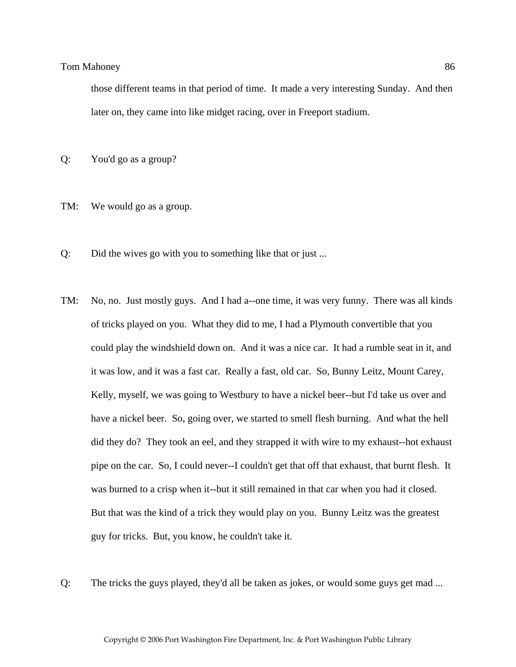those different teams in that period of time. It made a very interesting Sunday. And then later on, they came into like midget racing, over in Freeport stadium.

Q: You'd go as a group?

- TM: We would go as a group.
- Q: Did the wives go with you to something like that or just ...
- TM: No, no. Just mostly guys. And I had a--one time, it was very funny. There was all kinds of tricks played on you. What they did to me, I had a Plymouth convertible that you could play the windshield down on. And it was a nice car. It had a rumble seat in it, and it was low, and it was a fast car. Really a fast, old car. So, Bunny Leitz, Mount Carey, Kelly, myself, we was going to Westbury to have a nickel beer--but I'd take us over and have a nickel beer. So, going over, we started to smell flesh burning. And what the hell did they do? They took an eel, and they strapped it with wire to my exhaust--hot exhaust pipe on the car. So, I could never--I couldn't get that off that exhaust, that burnt flesh. It was burned to a crisp when it--but it still remained in that car when you had it closed. But that was the kind of a trick they would play on you. Bunny Leitz was the greatest guy for tricks. But, you know, he couldn't take it.
- Q: The tricks the guys played, they'd all be taken as jokes, or would some guys get mad ...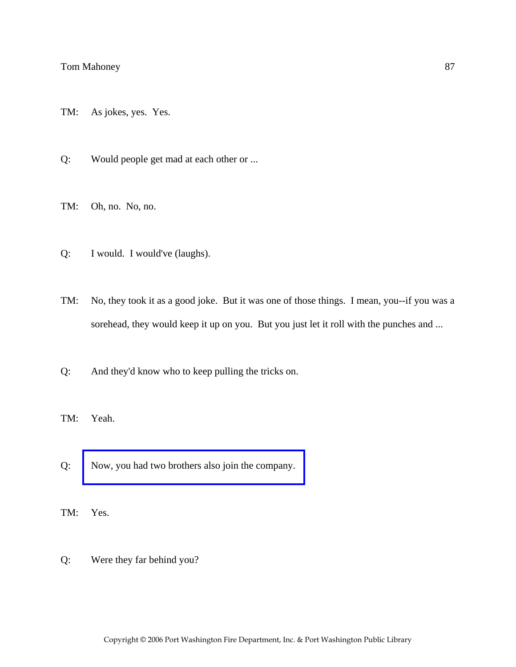- TM: As jokes, yes. Yes.
- Q: Would people get mad at each other or ...
- TM: Oh, no. No, no.
- Q: I would. I would've (laughs).
- TM: No, they took it as a good joke. But it was one of those things. I mean, you--if you was a sorehead, they would keep it up on you. But you just let it roll with the punches and ...
- Q: And they'd know who to keep pulling the tricks on.
- TM: Yeah.
- Q: [Now, you had two brothers also join the company.](http://www.pwfdhistory.com/trans/mahoneyt_trans/mahoney003_web.jpg)
- TM: Yes.
- Q: Were they far behind you?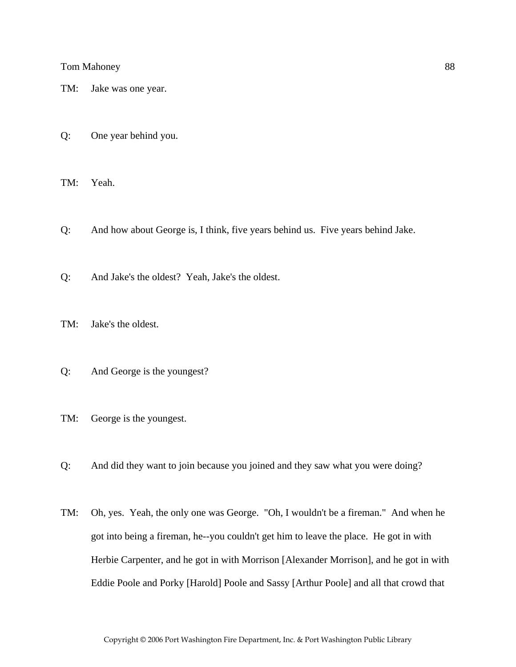TM: Jake was one year.

Q: One year behind you.

TM: Yeah.

Q: And how about George is, I think, five years behind us. Five years behind Jake.

Q: And Jake's the oldest? Yeah, Jake's the oldest.

TM: Jake's the oldest.

Q: And George is the youngest?

TM: George is the youngest.

Q: And did they want to join because you joined and they saw what you were doing?

TM: Oh, yes. Yeah, the only one was George. "Oh, I wouldn't be a fireman." And when he got into being a fireman, he--you couldn't get him to leave the place. He got in with Herbie Carpenter, and he got in with Morrison [Alexander Morrison], and he got in with Eddie Poole and Porky [Harold] Poole and Sassy [Arthur Poole] and all that crowd that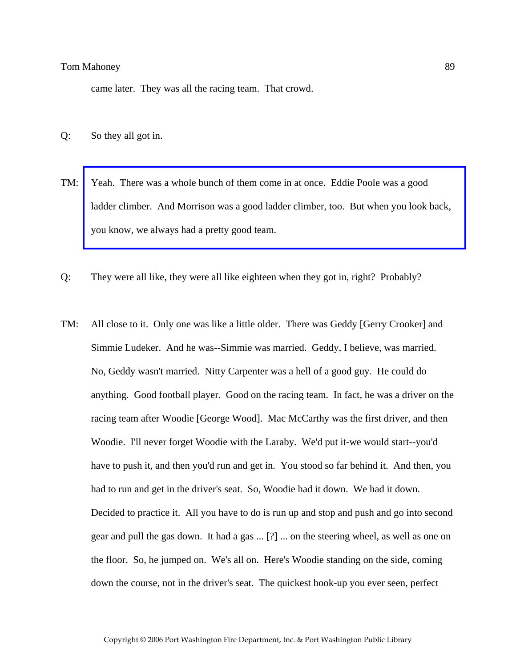came later. They was all the racing team. That crowd.

- Q: So they all got in.
- TM: Yeah. There was a whole bunch of them come in at once. Eddie Poole was a good [ladder climber. And Morrison was a good ladder climber, too. But when you look back,](http://www.pwfdhistory.com/trans/mahoneyt_trans/peco_racing02_web.jpg)  you know, we always had a pretty good team.
- Q: They were all like, they were all like eighteen when they got in, right? Probably?
- TM: All close to it. Only one was like a little older. There was Geddy [Gerry Crooker] and Simmie Ludeker. And he was--Simmie was married. Geddy, I believe, was married. No, Geddy wasn't married. Nitty Carpenter was a hell of a good guy. He could do anything. Good football player. Good on the racing team. In fact, he was a driver on the racing team after Woodie [George Wood]. Mac McCarthy was the first driver, and then Woodie. I'll never forget Woodie with the Laraby. We'd put it-we would start--you'd have to push it, and then you'd run and get in. You stood so far behind it. And then, you had to run and get in the driver's seat. So, Woodie had it down. We had it down. Decided to practice it. All you have to do is run up and stop and push and go into second gear and pull the gas down. It had a gas ... [?] ... on the steering wheel, as well as one on the floor. So, he jumped on. We's all on. Here's Woodie standing on the side, coming down the course, not in the driver's seat. The quickest hook-up you ever seen, perfect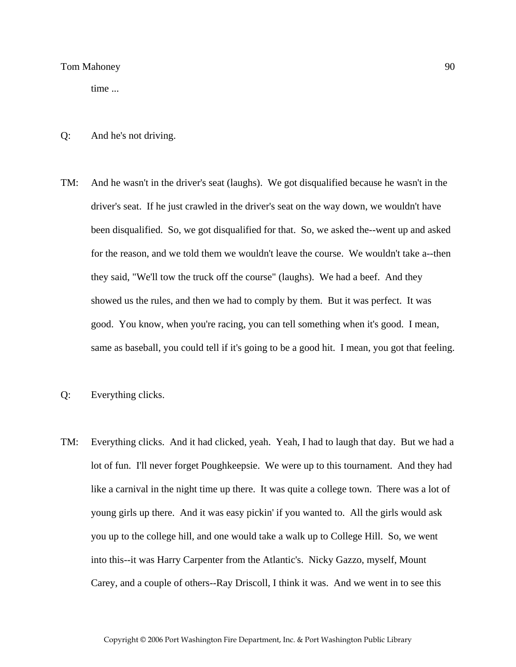time ...

- Q: And he's not driving.
- TM: And he wasn't in the driver's seat (laughs). We got disqualified because he wasn't in the driver's seat. If he just crawled in the driver's seat on the way down, we wouldn't have been disqualified. So, we got disqualified for that. So, we asked the--went up and asked for the reason, and we told them we wouldn't leave the course. We wouldn't take a--then they said, "We'll tow the truck off the course" (laughs). We had a beef. And they showed us the rules, and then we had to comply by them. But it was perfect. It was good. You know, when you're racing, you can tell something when it's good. I mean, same as baseball, you could tell if it's going to be a good hit. I mean, you got that feeling.
- Q: Everything clicks.
- TM: Everything clicks. And it had clicked, yeah. Yeah, I had to laugh that day. But we had a lot of fun. I'll never forget Poughkeepsie. We were up to this tournament. And they had like a carnival in the night time up there. It was quite a college town. There was a lot of young girls up there. And it was easy pickin' if you wanted to. All the girls would ask you up to the college hill, and one would take a walk up to College Hill. So, we went into this--it was Harry Carpenter from the Atlantic's. Nicky Gazzo, myself, Mount Carey, and a couple of others--Ray Driscoll, I think it was. And we went in to see this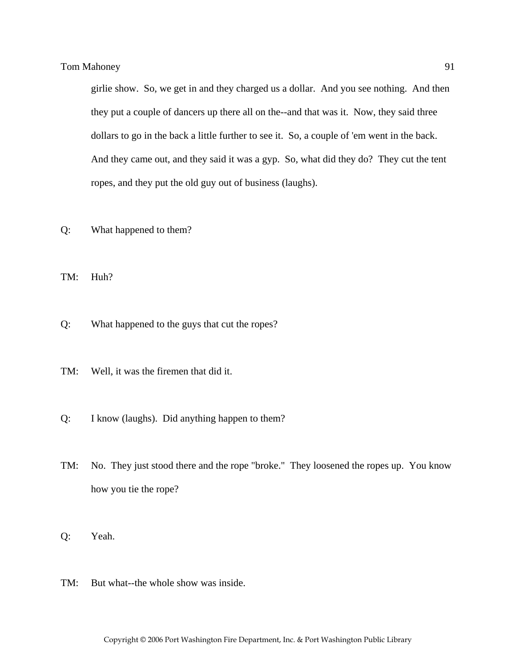girlie show. So, we get in and they charged us a dollar. And you see nothing. And then they put a couple of dancers up there all on the--and that was it. Now, they said three dollars to go in the back a little further to see it. So, a couple of 'em went in the back. And they came out, and they said it was a gyp. So, what did they do? They cut the tent ropes, and they put the old guy out of business (laughs).

Q: What happened to them?

TM: Huh?

- Q: What happened to the guys that cut the ropes?
- TM: Well, it was the firemen that did it.
- Q: I know (laughs). Did anything happen to them?
- TM: No. They just stood there and the rope "broke." They loosened the ropes up. You know how you tie the rope?
- Q: Yeah.
- TM: But what--the whole show was inside.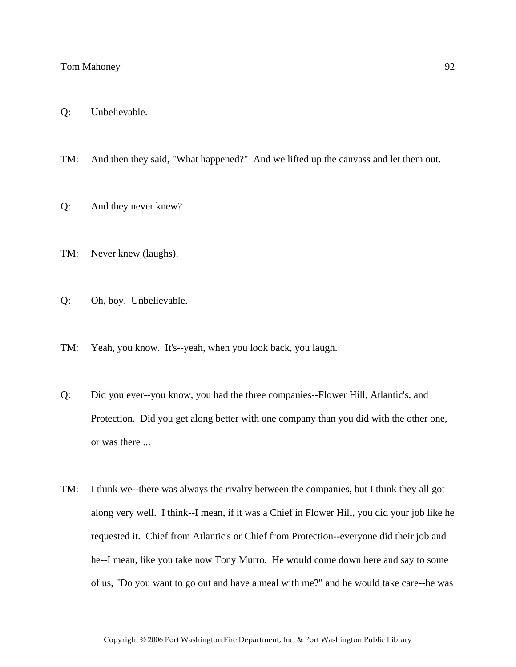TM: And then they said, "What happened?" And we lifted up the canvass and let them out.

- Q: And they never knew?
- TM: Never knew (laughs).
- Q: Oh, boy. Unbelievable.
- TM: Yeah, you know. It's--yeah, when you look back, you laugh.
- Q: Did you ever--you know, you had the three companies--Flower Hill, Atlantic's, and Protection. Did you get along better with one company than you did with the other one, or was there ...
- TM: I think we--there was always the rivalry between the companies, but I think they all got along very well. I think--I mean, if it was a Chief in Flower Hill, you did your job like he requested it. Chief from Atlantic's or Chief from Protection--everyone did their job and he--I mean, like you take now Tony Murro. He would come down here and say to some of us, "Do you want to go out and have a meal with me?" and he would take care--he was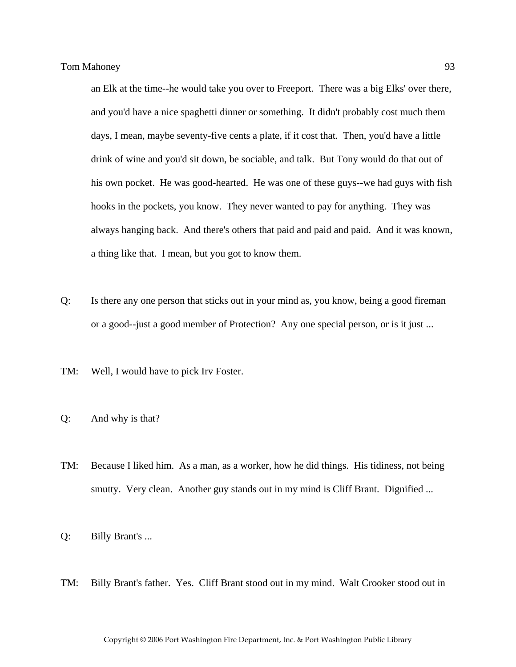an Elk at the time--he would take you over to Freeport. There was a big Elks' over there, and you'd have a nice spaghetti dinner or something. It didn't probably cost much them days, I mean, maybe seventy-five cents a plate, if it cost that. Then, you'd have a little drink of wine and you'd sit down, be sociable, and talk. But Tony would do that out of his own pocket. He was good-hearted. He was one of these guys--we had guys with fish hooks in the pockets, you know. They never wanted to pay for anything. They was always hanging back. And there's others that paid and paid and paid. And it was known, a thing like that. I mean, but you got to know them.

- Q: Is there any one person that sticks out in your mind as, you know, being a good fireman or a good--just a good member of Protection? Any one special person, or is it just ...
- TM: Well, I would have to pick Irv Foster.
- Q: And why is that?
- TM: Because I liked him. As a man, as a worker, how he did things. His tidiness, not being smutty. Very clean. Another guy stands out in my mind is Cliff Brant. Dignified ...
- Q: Billy Brant's ...
- TM: Billy Brant's father. Yes. Cliff Brant stood out in my mind. Walt Crooker stood out in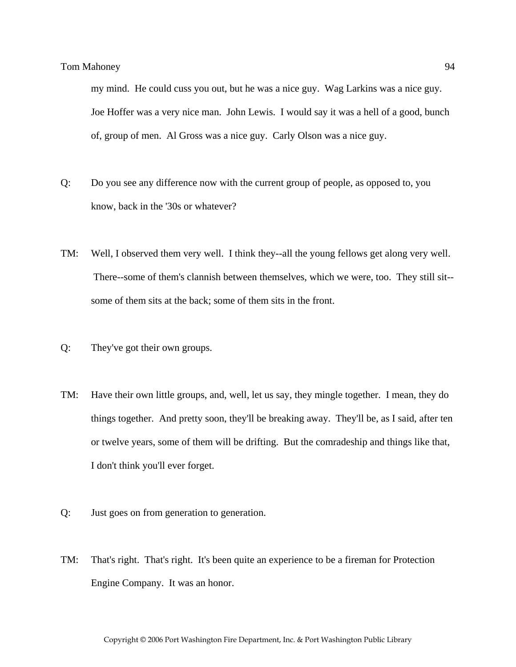my mind. He could cuss you out, but he was a nice guy. Wag Larkins was a nice guy. Joe Hoffer was a very nice man. John Lewis. I would say it was a hell of a good, bunch of, group of men. Al Gross was a nice guy. Carly Olson was a nice guy.

- Q: Do you see any difference now with the current group of people, as opposed to, you know, back in the '30s or whatever?
- TM: Well, I observed them very well. I think they--all the young fellows get along very well. There--some of them's clannish between themselves, which we were, too. They still sit- some of them sits at the back; some of them sits in the front.
- Q: They've got their own groups.
- TM: Have their own little groups, and, well, let us say, they mingle together. I mean, they do things together. And pretty soon, they'll be breaking away. They'll be, as I said, after ten or twelve years, some of them will be drifting. But the comradeship and things like that, I don't think you'll ever forget.
- Q: Just goes on from generation to generation.
- TM: That's right. That's right. It's been quite an experience to be a fireman for Protection Engine Company. It was an honor.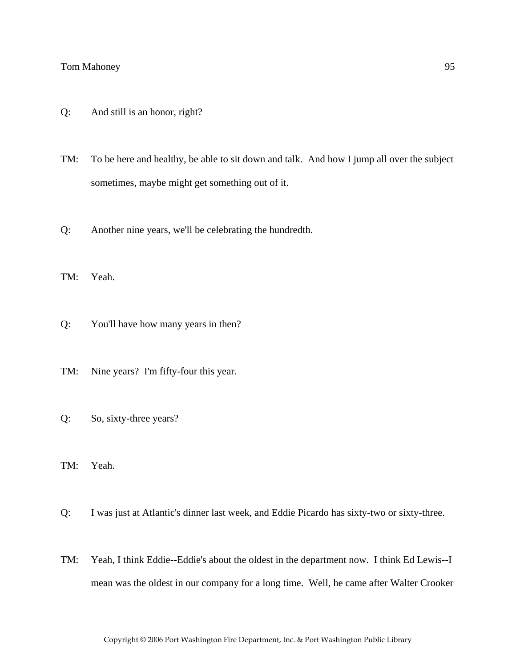- Q: And still is an honor, right?
- TM: To be here and healthy, be able to sit down and talk. And how I jump all over the subject sometimes, maybe might get something out of it.
- Q: Another nine years, we'll be celebrating the hundredth.
- TM: Yeah.
- Q: You'll have how many years in then?
- TM: Nine years? I'm fifty-four this year.
- Q: So, sixty-three years?
- TM: Yeah.
- Q: I was just at Atlantic's dinner last week, and Eddie Picardo has sixty-two or sixty-three.
- TM: Yeah, I think Eddie--Eddie's about the oldest in the department now. I think Ed Lewis--I mean was the oldest in our company for a long time. Well, he came after Walter Crooker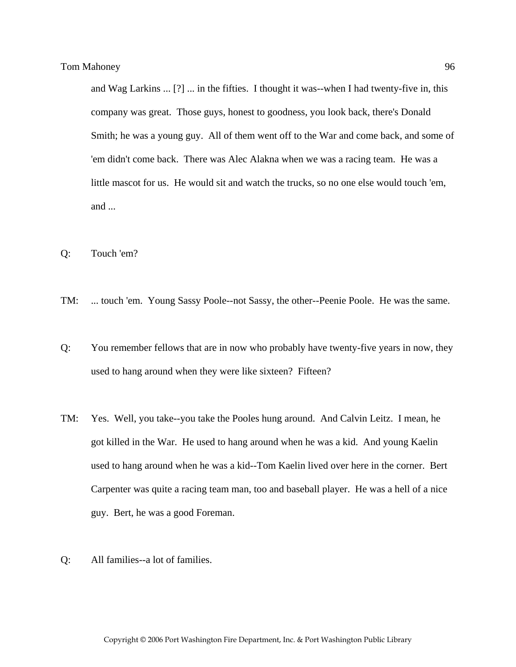and Wag Larkins ... [?] ... in the fifties. I thought it was--when I had twenty-five in, this company was great. Those guys, honest to goodness, you look back, there's Donald Smith; he was a young guy. All of them went off to the War and come back, and some of 'em didn't come back. There was Alec Alakna when we was a racing team. He was a little mascot for us. He would sit and watch the trucks, so no one else would touch 'em, and ...

- Q: Touch 'em?
- TM: ... touch 'em. Young Sassy Poole--not Sassy, the other--Peenie Poole. He was the same.
- Q: You remember fellows that are in now who probably have twenty-five years in now, they used to hang around when they were like sixteen? Fifteen?
- TM: Yes. Well, you take--you take the Pooles hung around. And Calvin Leitz. I mean, he got killed in the War. He used to hang around when he was a kid. And young Kaelin used to hang around when he was a kid--Tom Kaelin lived over here in the corner. Bert Carpenter was quite a racing team man, too and baseball player. He was a hell of a nice guy. Bert, he was a good Foreman.
- Q: All families--a lot of families.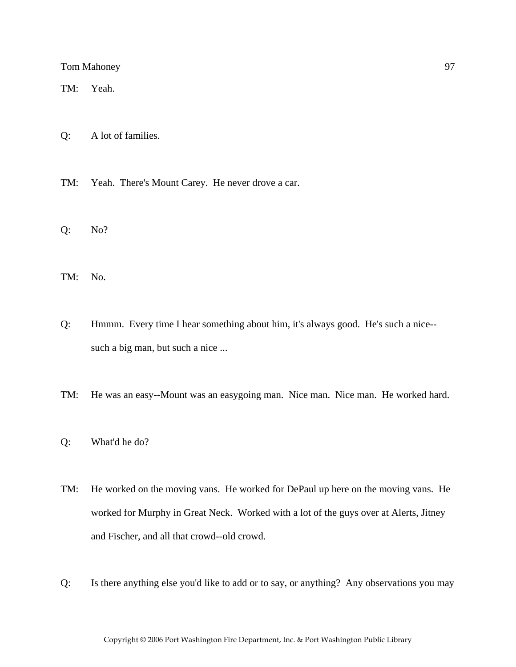TM: Yeah.

- Q: A lot of families.
- TM: Yeah. There's Mount Carey. He never drove a car.
- Q: No?
- TM: No.
- Q: Hmmm. Every time I hear something about him, it's always good. He's such a nice- such a big man, but such a nice ...
- TM: He was an easy--Mount was an easygoing man. Nice man. Nice man. He worked hard.
- Q: What'd he do?
- TM: He worked on the moving vans. He worked for DePaul up here on the moving vans. He worked for Murphy in Great Neck. Worked with a lot of the guys over at Alerts, Jitney and Fischer, and all that crowd--old crowd.
- Q: Is there anything else you'd like to add or to say, or anything? Any observations you may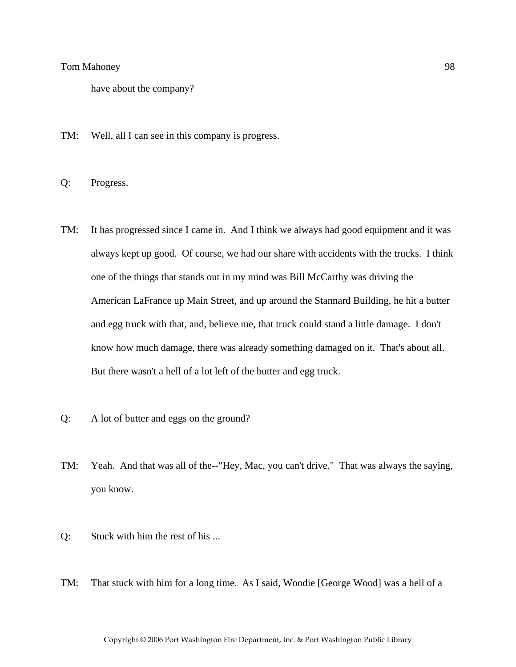have about the company?

- TM: Well, all I can see in this company is progress.
- Q: Progress.
- TM: It has progressed since I came in. And I think we always had good equipment and it was always kept up good. Of course, we had our share with accidents with the trucks. I think one of the things that stands out in my mind was Bill McCarthy was driving the American LaFrance up Main Street, and up around the Stannard Building, he hit a butter and egg truck with that, and, believe me, that truck could stand a little damage. I don't know how much damage, there was already something damaged on it. That's about all. But there wasn't a hell of a lot left of the butter and egg truck.
- Q: A lot of butter and eggs on the ground?
- TM: Yeah. And that was all of the--"Hey, Mac, you can't drive." That was always the saying, you know.
- Q: Stuck with him the rest of his ...
- TM: That stuck with him for a long time. As I said, Woodie [George Wood] was a hell of a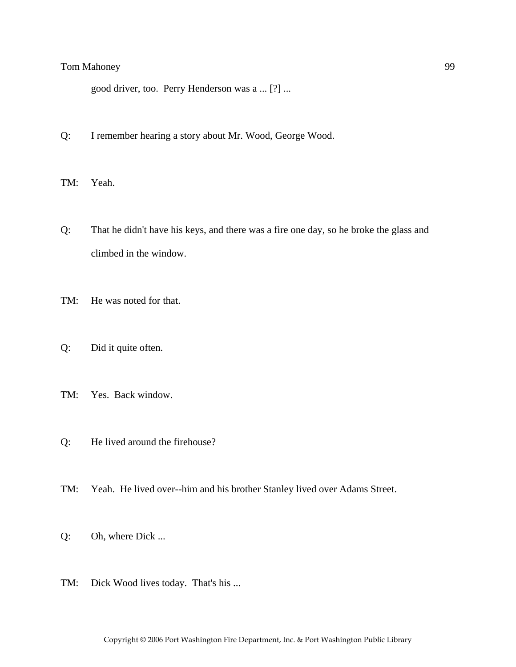good driver, too. Perry Henderson was a ... [?] ...

- Q: I remember hearing a story about Mr. Wood, George Wood.
- TM: Yeah.
- Q: That he didn't have his keys, and there was a fire one day, so he broke the glass and climbed in the window.
- TM: He was noted for that.
- Q: Did it quite often.
- TM: Yes. Back window.
- Q: He lived around the firehouse?
- TM: Yeah. He lived over--him and his brother Stanley lived over Adams Street.
- Q: Oh, where Dick ...
- TM: Dick Wood lives today. That's his ...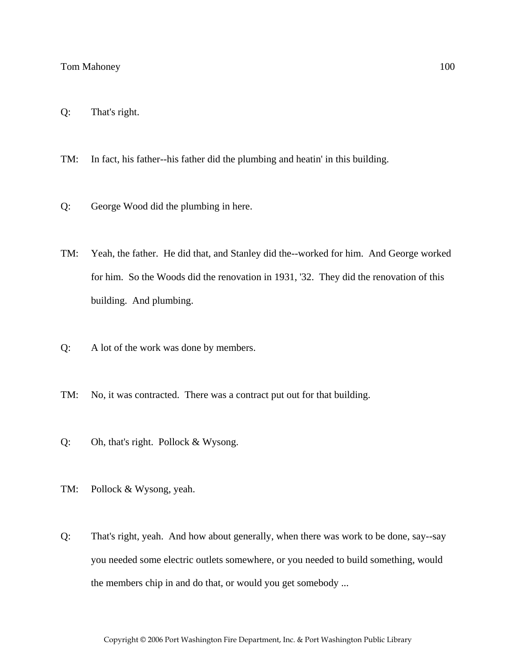- Q: That's right.
- TM: In fact, his father--his father did the plumbing and heatin' in this building.
- Q: George Wood did the plumbing in here.
- TM: Yeah, the father. He did that, and Stanley did the--worked for him. And George worked for him. So the Woods did the renovation in 1931, '32. They did the renovation of this building. And plumbing.
- Q: A lot of the work was done by members.
- TM: No, it was contracted. There was a contract put out for that building.
- Q: Oh, that's right. Pollock & Wysong.
- TM: Pollock & Wysong, yeah.
- Q: That's right, yeah. And how about generally, when there was work to be done, say--say you needed some electric outlets somewhere, or you needed to build something, would the members chip in and do that, or would you get somebody ...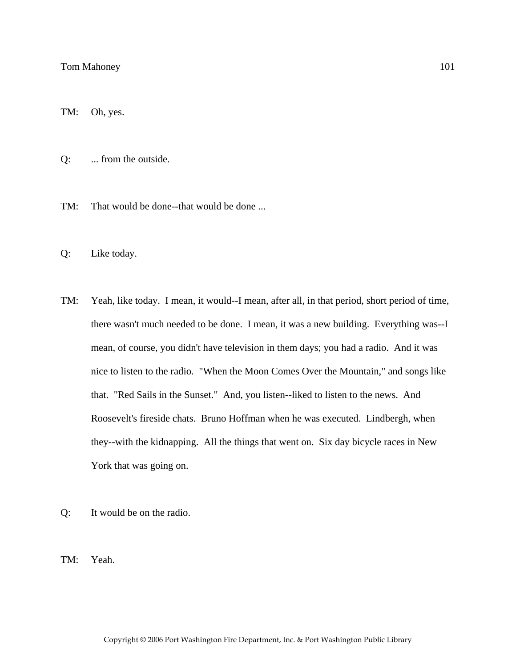TM: Oh, yes.

Q: ... from the outside.

TM: That would be done--that would be done ...

- Q: Like today.
- TM: Yeah, like today. I mean, it would--I mean, after all, in that period, short period of time, there wasn't much needed to be done. I mean, it was a new building. Everything was--I mean, of course, you didn't have television in them days; you had a radio. And it was nice to listen to the radio. "When the Moon Comes Over the Mountain," and songs like that. "Red Sails in the Sunset." And, you listen--liked to listen to the news. And Roosevelt's fireside chats. Bruno Hoffman when he was executed. Lindbergh, when they--with the kidnapping. All the things that went on. Six day bicycle races in New York that was going on.
- Q: It would be on the radio.

TM: Yeah.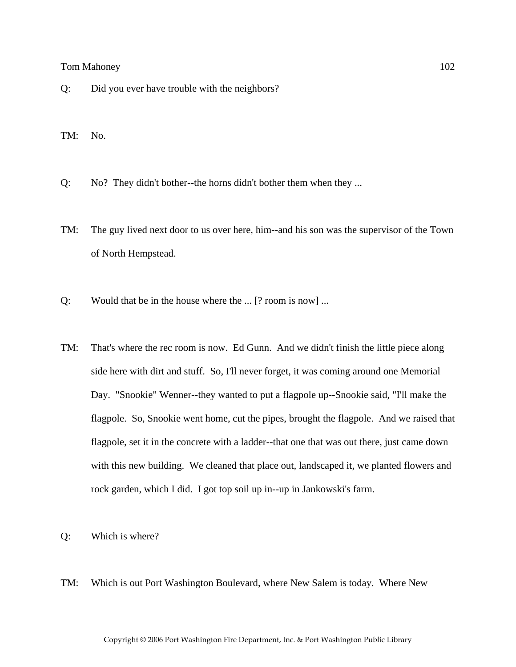- Q: Did you ever have trouble with the neighbors?
- TM: No.
- Q: No? They didn't bother--the horns didn't bother them when they ...
- TM: The guy lived next door to us over here, him--and his son was the supervisor of the Town of North Hempstead.
- Q: Would that be in the house where the ... [? room is now] ...
- TM: That's where the rec room is now. Ed Gunn. And we didn't finish the little piece along side here with dirt and stuff. So, I'll never forget, it was coming around one Memorial Day. "Snookie" Wenner--they wanted to put a flagpole up--Snookie said, "I'll make the flagpole. So, Snookie went home, cut the pipes, brought the flagpole. And we raised that flagpole, set it in the concrete with a ladder--that one that was out there, just came down with this new building. We cleaned that place out, landscaped it, we planted flowers and rock garden, which I did. I got top soil up in--up in Jankowski's farm.
- Q: Which is where?
- TM: Which is out Port Washington Boulevard, where New Salem is today. Where New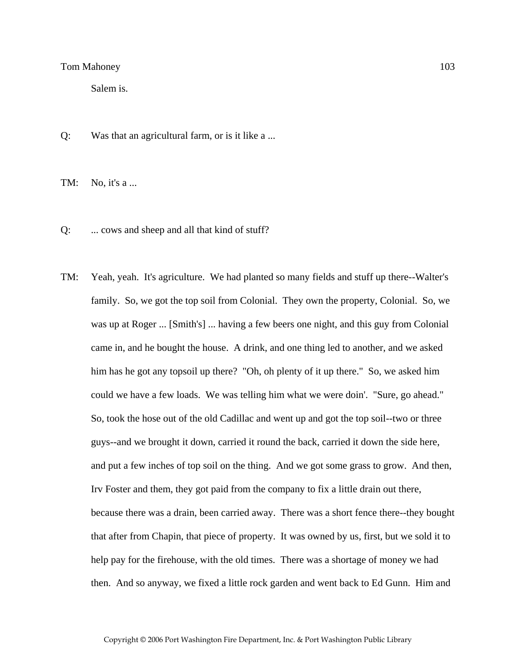Salem is.

Q: Was that an agricultural farm, or is it like a ...

TM: No, it's a ...

- Q: ... cows and sheep and all that kind of stuff?
- TM: Yeah, yeah. It's agriculture. We had planted so many fields and stuff up there--Walter's family. So, we got the top soil from Colonial. They own the property, Colonial. So, we was up at Roger ... [Smith's] ... having a few beers one night, and this guy from Colonial came in, and he bought the house. A drink, and one thing led to another, and we asked him has he got any topsoil up there? "Oh, oh plenty of it up there." So, we asked him could we have a few loads. We was telling him what we were doin'. "Sure, go ahead." So, took the hose out of the old Cadillac and went up and got the top soil--two or three guys--and we brought it down, carried it round the back, carried it down the side here, and put a few inches of top soil on the thing. And we got some grass to grow. And then, Irv Foster and them, they got paid from the company to fix a little drain out there, because there was a drain, been carried away. There was a short fence there--they bought that after from Chapin, that piece of property. It was owned by us, first, but we sold it to help pay for the firehouse, with the old times. There was a shortage of money we had then. And so anyway, we fixed a little rock garden and went back to Ed Gunn. Him and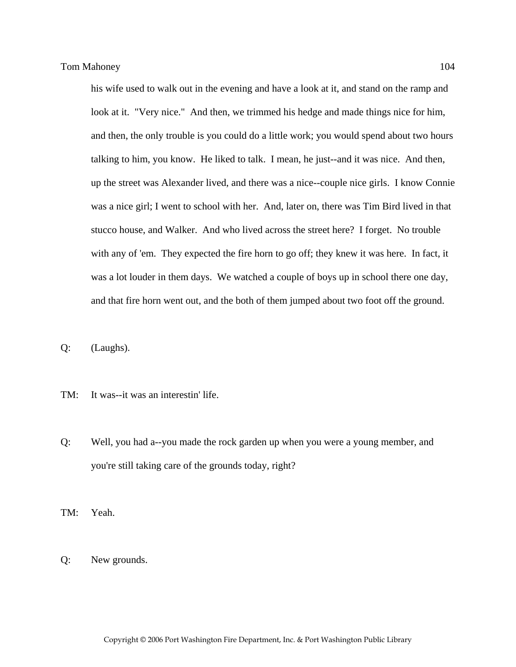his wife used to walk out in the evening and have a look at it, and stand on the ramp and look at it. "Very nice." And then, we trimmed his hedge and made things nice for him, and then, the only trouble is you could do a little work; you would spend about two hours talking to him, you know. He liked to talk. I mean, he just--and it was nice. And then, up the street was Alexander lived, and there was a nice--couple nice girls. I know Connie was a nice girl; I went to school with her. And, later on, there was Tim Bird lived in that stucco house, and Walker. And who lived across the street here? I forget. No trouble with any of 'em. They expected the fire horn to go off; they knew it was here. In fact, it was a lot louder in them days. We watched a couple of boys up in school there one day, and that fire horn went out, and the both of them jumped about two foot off the ground.

Q: (Laughs).

- TM: It was--it was an interestin' life.
- Q: Well, you had a--you made the rock garden up when you were a young member, and you're still taking care of the grounds today, right?

TM: Yeah.

Q: New grounds.